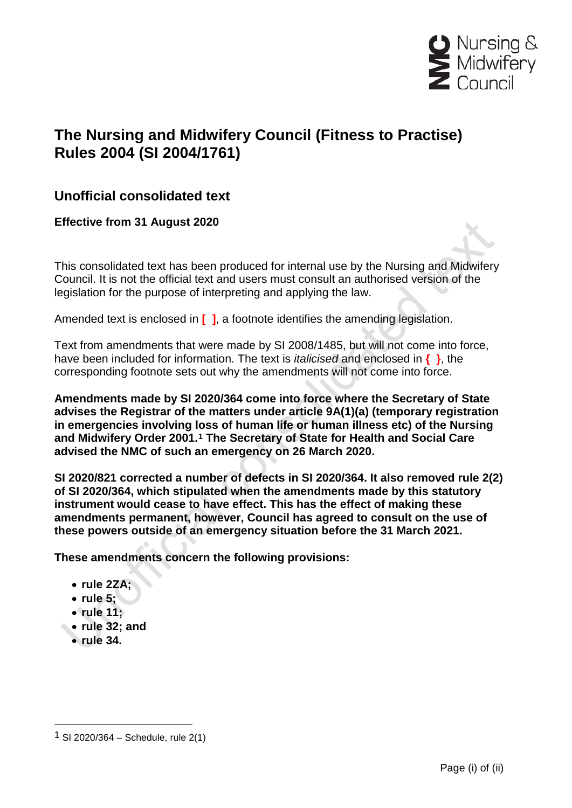

# **The Nursing and Midwifery Council (Fitness to Practise) Rules 2004 (SI 2004/1761)**

# **Unofficial consolidated text**

**Effective from 31 August 2020**

This consolidated text has been produced for internal use by the Nursing and Midwifery Council. It is not the official text and users must consult an authorised version of the legislation for the purpose of interpreting and applying the law.

Amended text is enclosed in **[ ]**, a footnote identifies the amending legislation.

Text from amendments that were made by SI 2008/1485, but will not come into force, have been included for information. The text is *italicised* and enclosed in **{ }**, the corresponding footnote sets out why the amendments will not come into force.

**Amendments made by SI 2020/364 come into force where the Secretary of State advises the Registrar of the matters under article 9A(1)(a) (temporary registration in emergencies involving loss of human life or human illness etc) of the Nursing and Midwifery Order 2001.[1](#page-0-0) The Secretary of State for Health and Social Care advised the NMC of such an emergency on 26 March 2020.** 

**SI 2020/821 corrected a number of defects in SI 2020/364. It also removed rule 2(2) of SI 2020/364, which stipulated when the amendments made by this statutory instrument would cease to have effect. This has the effect of making these amendments permanent, however, Council has agreed to consult on the use of these powers outside of an emergency situation before the 31 March 2021.** 

**These amendments concern the following provisions:**

## • **rule 2ZA;**

- **rule 5;**
- **rule 11;**
- **rule 32; and** 
	- **rule 34.**

<span id="page-0-0"></span><sup>1</sup> SI 2020/364 – Schedule, rule 2(1)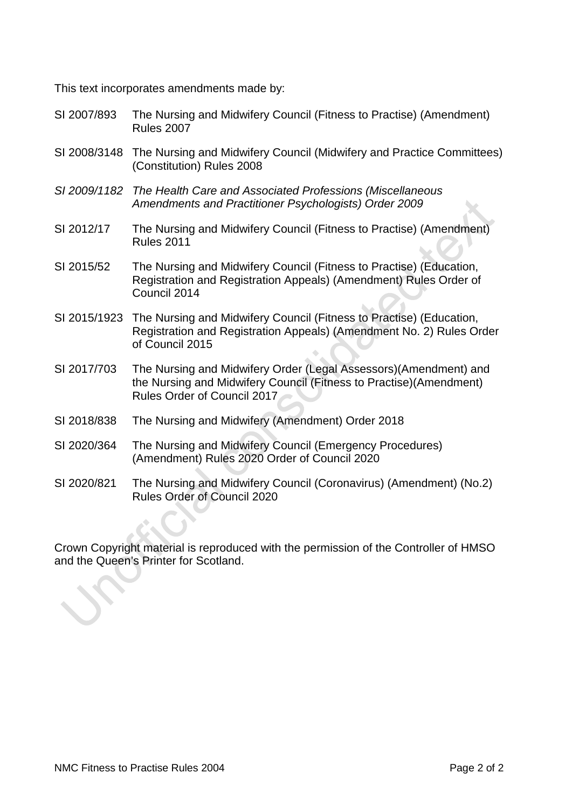This text incorporates amendments made by:

- SI 2007/893 The Nursing and Midwifery Council (Fitness to Practise) (Amendment) Rules 2007
- SI 2008/3148 The Nursing and Midwifery Council (Midwifery and Practice Committees) (Constitution) Rules 2008
- *SI 2009/1182 The Health Care and Associated Professions (Miscellaneous Amendments and Practitioner Psychologists) Order 2009*
- SI 2012/17 The Nursing and Midwifery Council (Fitness to Practise) (Amendment) Rules 2011
- SI 2015/52 The Nursing and Midwifery Council (Fitness to Practise) (Education, Registration and Registration Appeals) (Amendment) Rules Order of Council 2014
- SI 2015/1923 The Nursing and Midwifery Council (Fitness to Practise) (Education, Registration and Registration Appeals) (Amendment No. 2) Rules Order of Council 2015
- SI 2017/703 The Nursing and Midwifery Order (Legal Assessors)(Amendment) and the Nursing and Midwifery Council (Fitness to Practise)(Amendment) Rules Order of Council 2017
- SI 2018/838 The Nursing and Midwifery (Amendment) Order 2018
- SI 2020/364 The Nursing and Midwifery Council (Emergency Procedures) (Amendment) Rules 2020 Order of Council 2020
- SI 2020/821 The Nursing and Midwifery Council (Coronavirus) (Amendment) (No.2) Rules Order of Council 2020

Crown Copyright material is reproduced with the permission of the Controller of HMSO and the Queen's Printer for Scotland.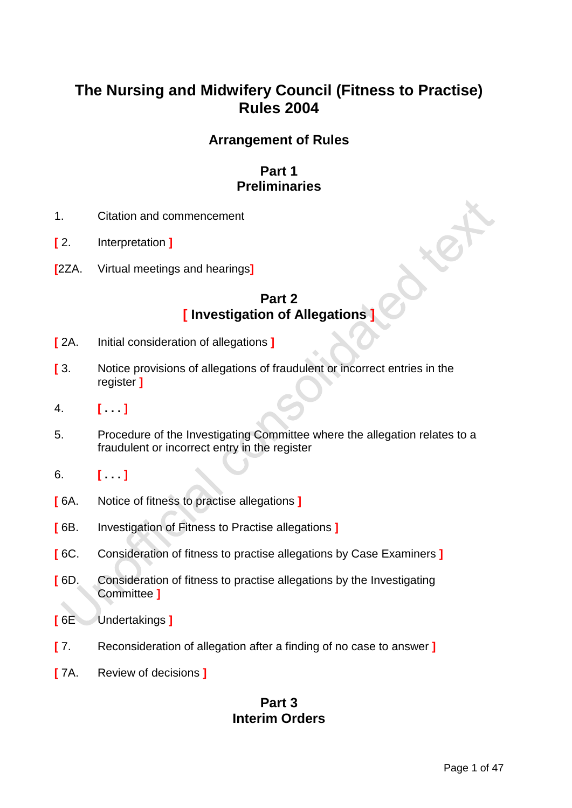# **The Nursing and Midwifery Council (Fitness to Practise) Rules 2004**

# **Arrangement of Rules**

# **Part 1 Preliminaries**

- 1. Citation and commencement
- **[** 2. Interpretation **]**
- **[**2ZA. Virtual meetings and hearings**]**

# **Part 2 [ Investigation of Allegations ]**

- **[** 2A. Initial consideration of allegations **]**
- **[** 3. Notice provisions of allegations of fraudulent or incorrect entries in the register **]**
- 4. **[ . . . ]**
- 5. Procedure of the Investigating Committee where the allegation relates to a fraudulent or incorrect entry in the register
- 6. **[ . . . ]**
- **[** 6A. Notice of fitness to practise allegations **]**
- **[** 6B. Investigation of Fitness to Practise allegations **]**
- **[** 6C. Consideration of fitness to practise allegations by Case Examiners **]**
- **[** 6D. Consideration of fitness to practise allegations by the Investigating Committee **]**
- **[** 6E Undertakings **]**
- **[** 7. Reconsideration of allegation after a finding of no case to answer **]**
- **[** 7A. Review of decisions **]**

# **Part 3 Interim Orders**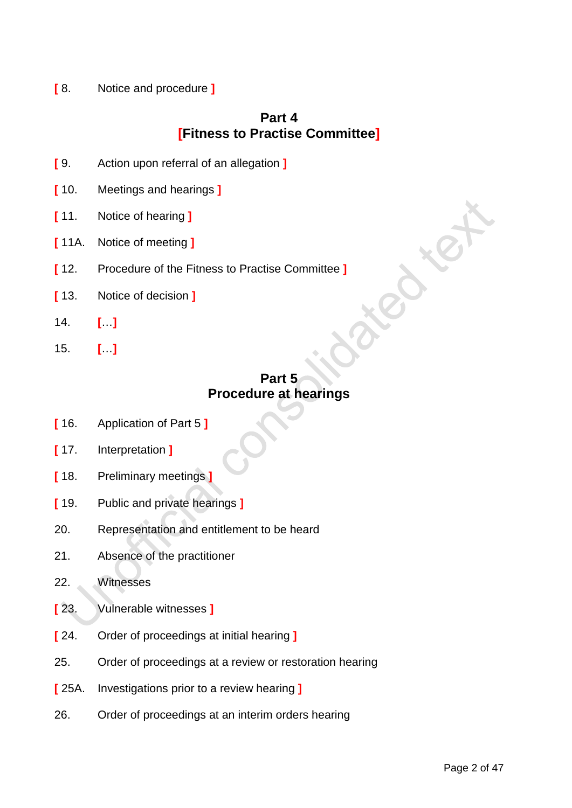**[** 8. Notice and procedure **]**

# **Part 4 [Fitness to Practise Committee]**

- **[** 9. Action upon referral of an allegation **]**
- **[** 10. Meetings and hearings **]**
- **[** 11. Notice of hearing **]**
- **[** 11A. Notice of meeting **]**
- **[** 12. Procedure of the Fitness to Practise Committee **]**
- **[** 13. Notice of decision **]**
- 14. **[**…**]**
- 15. **[**…**]**

# **Part 5 Procedure at hearings**

- **[** 16. Application of Part 5 **]**
- **[** 17. Interpretation **]**
- **[** 18. Preliminary meetings **]**
- **[** 19. Public and private hearings **]**
- 20. Representation and entitlement to be heard
- 21. Absence of the practitioner
- 22. Witnesses
- **[** 23. Vulnerable witnesses **]**
- **[** 24. Order of proceedings at initial hearing **]**
- 25. Order of proceedings at a review or restoration hearing
- **[** 25A. Investigations prior to a review hearing **]**
- 26. Order of proceedings at an interim orders hearing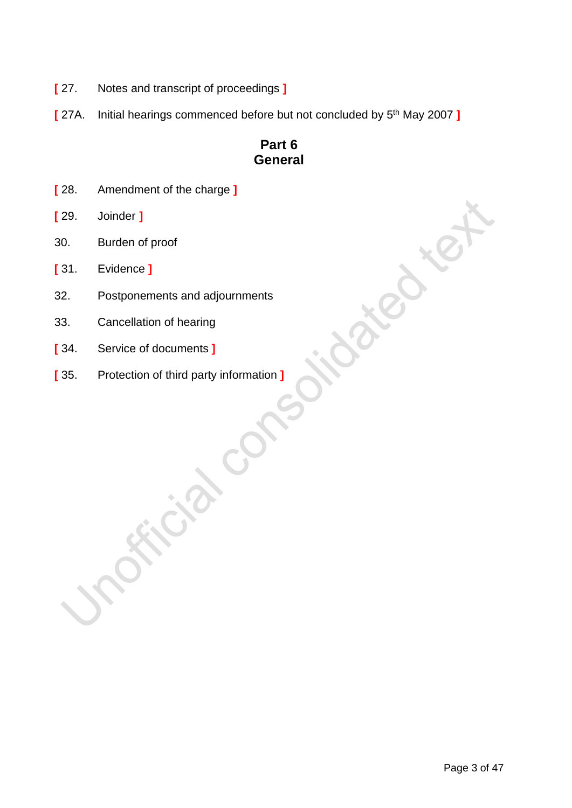- **[** 27. Notes and transcript of proceedings **]**
- **[** 27A. Initial hearings commenced before but not concluded by 5th May 2007 **]**

# **Part 6 General**

- **[** 28. Amendment of the charge **]**
- **[** 29. Joinder **]**
- 30. Burden of proof
- **[** 31. Evidence **]**
- 32. Postponements and adjournments
- 33. Cancellation of hearing
- **[** 34. Service of documents **]**
- **[** 35. Protection of third party information **]**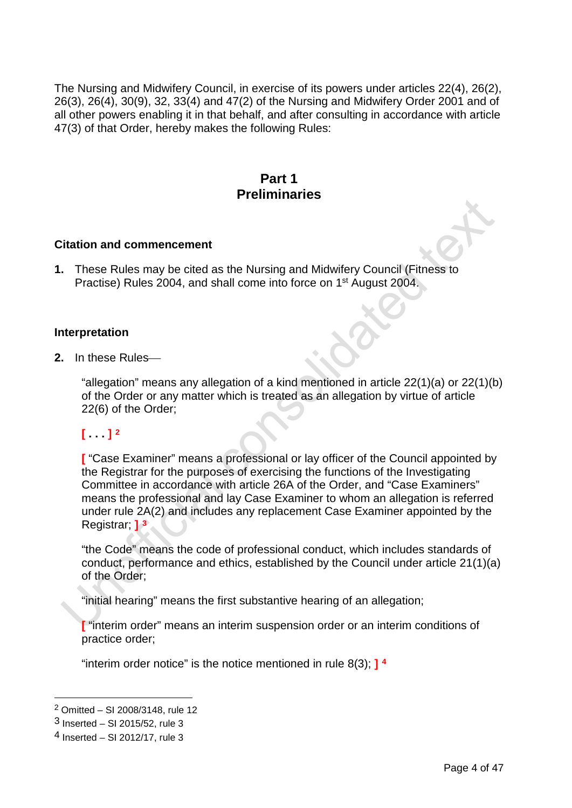The Nursing and Midwifery Council, in exercise of its powers under articles 22(4), 26(2), 26(3), 26(4), 30(9), 32, 33(4) and 47(2) of the Nursing and Midwifery Order 2001 and of all other powers enabling it in that behalf, and after consulting in accordance with article 47(3) of that Order, hereby makes the following Rules:

## **Part 1 Preliminaries**

#### **Citation and commencement**

**1.** These Rules may be cited as the Nursing and Midwifery Council (Fitness to Practise) Rules 2004, and shall come into force on 1<sup>st</sup> August 2004.

## **Interpretation**

**2.** In these Rules

"allegation" means any allegation of a kind mentioned in article 22(1)(a) or 22(1)(b) of the Order or any matter which is treated as an allegation by virtue of article 22(6) of the Order;

## **[ . . . ] [2](#page-5-0)**

**[** "Case Examiner" means a professional or lay officer of the Council appointed by the Registrar for the purposes of exercising the functions of the Investigating Committee in accordance with article 26A of the Order, and "Case Examiners" means the professional and lay Case Examiner to whom an allegation is referred under rule 2A(2) and includes any replacement Case Examiner appointed by the Registrar; **] [3](#page-5-1)**

"the Code" means the code of professional conduct, which includes standards of conduct, performance and ethics, established by the Council under article 21(1)(a) of the Order;

"initial hearing" means the first substantive hearing of an allegation;

**[** "interim order" means an interim suspension order or an interim conditions of practice order;

"interim order notice" is the notice mentioned in rule 8(3); **] [4](#page-5-2)**

<span id="page-5-0"></span><sup>2</sup> Omitted – SI 2008/3148, rule 12

<span id="page-5-1"></span> $3$  Inserted – SI 2015/52, rule 3

<span id="page-5-2"></span><sup>4</sup> Inserted – SI 2012/17, rule 3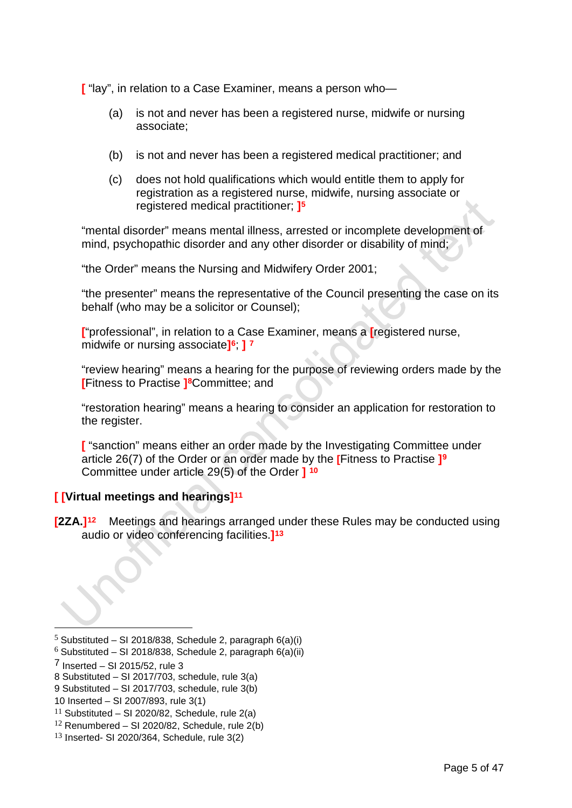**[** "lay", in relation to a Case Examiner, means a person who—

- (a) is not and never has been a registered nurse, midwife or nursing associate;
- (b) is not and never has been a registered medical practitioner; and
- (c) does not hold qualifications which would entitle them to apply for registration as a registered nurse, midwife, nursing associate or registered medical practitioner; **][5](#page-6-0)**

"mental disorder" means mental illness, arrested or incomplete development of mind, psychopathic disorder and any other disorder or disability of mind;

"the Order" means the Nursing and Midwifery Order 2001;

"the presenter" means the representative of the Council presenting the case on its behalf (who may be a solicitor or Counsel);

**[**"professional", in relation to a Case Examiner, means a **[**registered nurse, midwife or nursing associate**][6](#page-6-1)**; **] [7](#page-6-2)**

"review hearing" means a hearing for the purpose of reviewing orders made by the **[**Fitness to Practise **[\]8](#page-6-3)**Committee; and

"restoration hearing" means a hearing to consider an application for restoration to the register.

**[** "sanction" means either an order made by the Investigating Committee under article 26(7) of the Order or an order made by the **[**Fitness to Practise **][9](#page-6-4)** Committee under article 29(5) of the Order **] [10](#page-6-5)**

## **[ [Virtual meetings and hearings][11](#page-6-6)**

**[2ZA.][12](#page-6-7)** Meetings and hearings arranged under these Rules may be conducted using audio or video conferencing facilities.**][13](#page-6-8)**

<span id="page-6-0"></span> $5$  Substituted – SI 2018/838, Schedule 2, paragraph 6(a)(i)

<span id="page-6-1"></span> $6$  Substituted – SI 2018/838, Schedule 2, paragraph 6(a)(ii)

<span id="page-6-2"></span> $<sup>7</sup>$  Inserted – SI 2015/52, rule 3</sup>

<span id="page-6-3"></span><sup>8</sup> Substituted – SI 2017/703, schedule, rule 3(a)

<span id="page-6-4"></span><sup>9</sup> Substituted – SI 2017/703, schedule, rule 3(b)

<span id="page-6-5"></span><sup>10</sup> Inserted – SI 2007/893, rule 3(1)

<span id="page-6-6"></span><sup>&</sup>lt;sup>11</sup> Substituted – SI 2020/82, Schedule, rule  $2(a)$ 

<span id="page-6-7"></span> $12$  Renumbered – SI 2020/82, Schedule, rule 2(b)

<span id="page-6-8"></span><sup>13</sup> Inserted- SI 2020/364, Schedule, rule 3(2)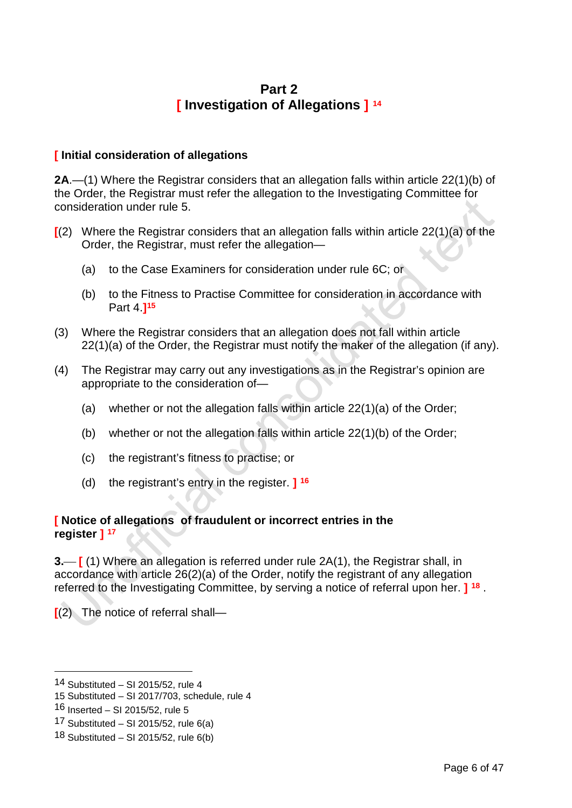# **Part 2 [ Investigation of Allegations ] [14](#page-7-0)**

## **[ Initial consideration of allegations**

**2A**.—(1) Where the Registrar considers that an allegation falls within article 22(1)(b) of the Order, the Registrar must refer the allegation to the Investigating Committee for consideration under rule 5.

- **[**(2) Where the Registrar considers that an allegation falls within article 22(1)(a) of the Order, the Registrar, must refer the allegation—
	- (a) to the Case Examiners for consideration under rule 6C; or
	- (b) to the Fitness to Practise Committee for consideration in accordance with Part 4.**][15](#page-7-1)**
- (3) Where the Registrar considers that an allegation does not fall within article 22(1)(a) of the Order, the Registrar must notify the maker of the allegation (if any).
- (4) The Registrar may carry out any investigations as in the Registrar's opinion are appropriate to the consideration of—
	- (a) whether or not the allegation falls within article 22(1)(a) of the Order;
	- (b) whether or not the allegation falls within article 22(1)(b) of the Order;
	- (c) the registrant's fitness to practise; or
	- (d) the registrant's entry in the register. **] [16](#page-7-2)**

## **[ Notice of allegations of fraudulent or incorrect entries in the register ] [17](#page-7-3)**

**3. [**(1) Where an allegation is referred under rule 2A(1), the Registrar shall, in accordance with article 26(2)(a) of the Order, notify the registrant of any allegation referred to the Investigating Committee, by serving a notice of referral upon her. **] [18](#page-7-4)** .

**[**(2) The notice of referral shall—

<span id="page-7-0"></span><sup>14</sup> Substituted – SI 2015/52, rule 4

<span id="page-7-1"></span><sup>15</sup> Substituted – SI 2017/703, schedule, rule 4

<span id="page-7-2"></span><sup>16</sup> Inserted – SI 2015/52, rule 5

<span id="page-7-3"></span><sup>17</sup> Substituted – SI 2015/52, rule  $6(a)$ 

<span id="page-7-4"></span><sup>18</sup> Substituted – SI 2015/52, rule 6(b)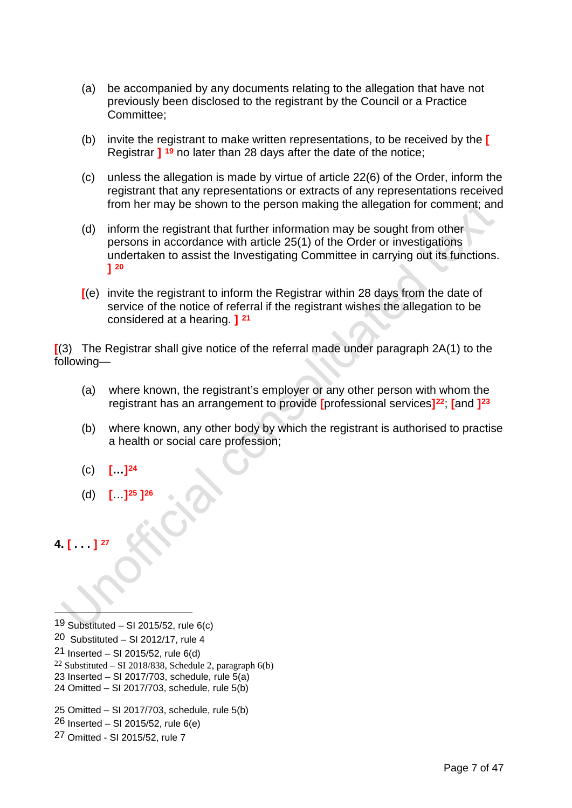- (a) be accompanied by any documents relating to the allegation that have not previously been disclosed to the registrant by the Council or a Practice Committee;
- (b) invite the registrant to make written representations, to be received by the **[** Registrar **] [19](#page-8-0)** no later than 28 days after the date of the notice;
- (c) unless the allegation is made by virtue of article 22(6) of the Order, inform the registrant that any representations or extracts of any representations received from her may be shown to the person making the allegation for comment; and
- (d) inform the registrant that further information may be sought from other persons in accordance with article 25(1) of the Order or investigations undertaken to assist the Investigating Committee in carrying out its functions. **] [20](#page-8-1)**
- **[**(e) invite the registrant to inform the Registrar within 28 days from the date of service of the notice of referral if the registrant wishes the allegation to be considered at a hearing. **] [21](#page-8-2)**

**[**(3) The Registrar shall give notice of the referral made under paragraph 2A(1) to the following—

- (a) where known, the registrant's employer or any other person with whom the registrant has an arrangement to provide **[**professional services**][22](#page-8-3)**; **[**and **][23](#page-8-4)**
- (b) where known, any other body by which the registrant is authorised to practise a health or social care profession;
- (c) **[…][24](#page-8-5)**
- (d) **[**…**][25](#page-8-6) [\]26](#page-8-7)**

**4. [ . . . ] [27](#page-8-8)**

- <span id="page-8-1"></span>20 Substituted – SI 2012/17, rule 4
- <span id="page-8-2"></span>21 Inserted – SI 2015/52, rule  $6(d)$
- <span id="page-8-3"></span><sup>22</sup> Substituted – SI 2018/838, Schedule 2, paragraph  $6(b)$
- <span id="page-8-4"></span>23 Inserted – SI 2017/703, schedule, rule  $\overline{5(a)}$
- <span id="page-8-5"></span>24 Omitted – SI 2017/703, schedule, rule 5(b)
- <span id="page-8-6"></span>25 Omitted – SI 2017/703, schedule, rule 5(b)
- <span id="page-8-7"></span> $26$  Inserted – SI 2015/52, rule 6(e)
- <span id="page-8-8"></span>27 Omitted - SI 2015/52, rule 7

<span id="page-8-0"></span><sup>19</sup> Substituted – SI 2015/52, rule 6(c)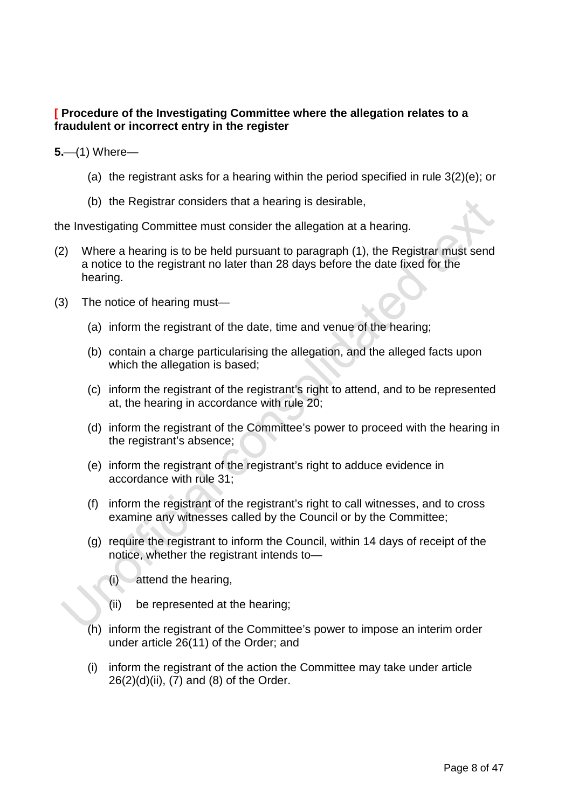## **[ Procedure of the Investigating Committee where the allegation relates to a fraudulent or incorrect entry in the register**

**5.** (1) Where-

- (a) the registrant asks for a hearing within the period specified in rule 3(2)(e); or
- (b) the Registrar considers that a hearing is desirable,

the Investigating Committee must consider the allegation at a hearing.

- (2) Where a hearing is to be held pursuant to paragraph (1), the Registrar must send a notice to the registrant no later than 28 days before the date fixed for the hearing.
- (3) The notice of hearing must—
	- (a) inform the registrant of the date, time and venue of the hearing;
	- (b) contain a charge particularising the allegation, and the alleged facts upon which the allegation is based;
	- (c) inform the registrant of the registrant's right to attend, and to be represented at, the hearing in accordance with rule 20;
	- (d) inform the registrant of the Committee's power to proceed with the hearing in the registrant's absence;
	- (e) inform the registrant of the registrant's right to adduce evidence in accordance with rule 31;
	- (f) inform the registrant of the registrant's right to call witnesses, and to cross examine any witnesses called by the Council or by the Committee;
	- (g) require the registrant to inform the Council, within 14 days of receipt of the notice, whether the registrant intends to—
		- (i) attend the hearing,
		- (ii) be represented at the hearing;
	- (h) inform the registrant of the Committee's power to impose an interim order under article 26(11) of the Order; and
	- (i) inform the registrant of the action the Committee may take under article  $26(2)(d)(ii)$ ,  $(7)$  and  $(8)$  of the Order.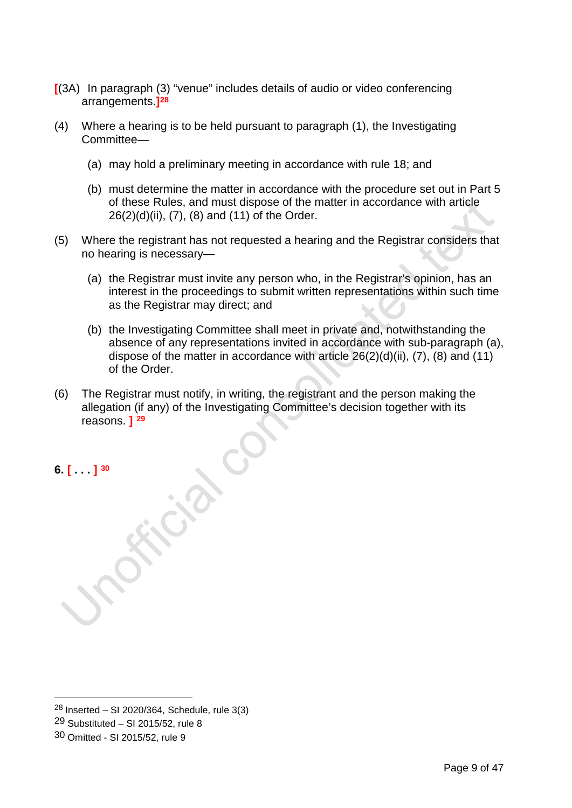- **[**(3A) In paragraph (3) "venue" includes details of audio or video conferencing arrangements.**][28](#page-10-0)**
- (4) Where a hearing is to be held pursuant to paragraph (1), the Investigating Committee—
	- (a) may hold a preliminary meeting in accordance with rule 18; and
	- (b) must determine the matter in accordance with the procedure set out in Part 5 of these Rules, and must dispose of the matter in accordance with article 26(2)(d)(ii), (7), (8) and (11) of the Order.
- (5) Where the registrant has not requested a hearing and the Registrar considers that no hearing is necessary—
	- (a) the Registrar must invite any person who, in the Registrar's opinion, has an interest in the proceedings to submit written representations within such time as the Registrar may direct; and
	- (b) the Investigating Committee shall meet in private and, notwithstanding the absence of any representations invited in accordance with sub-paragraph (a), dispose of the matter in accordance with article  $26(2)(d)(ii)$ ,  $(7)$ ,  $(8)$  and  $(11)$ of the Order.
- (6) The Registrar must notify, in writing, the registrant and the person making the allegation (if any) of the Investigating Committee's decision together with its reasons. **] [29](#page-10-1)**

**6. [ . . . ] [30](#page-10-2)**

<span id="page-10-0"></span> $28$  Inserted – SI 2020/364, Schedule, rule 3(3)

<span id="page-10-1"></span><sup>29</sup> Substituted – SI 2015/52, rule 8

<span id="page-10-2"></span><sup>30</sup> Omitted - SI 2015/52, rule 9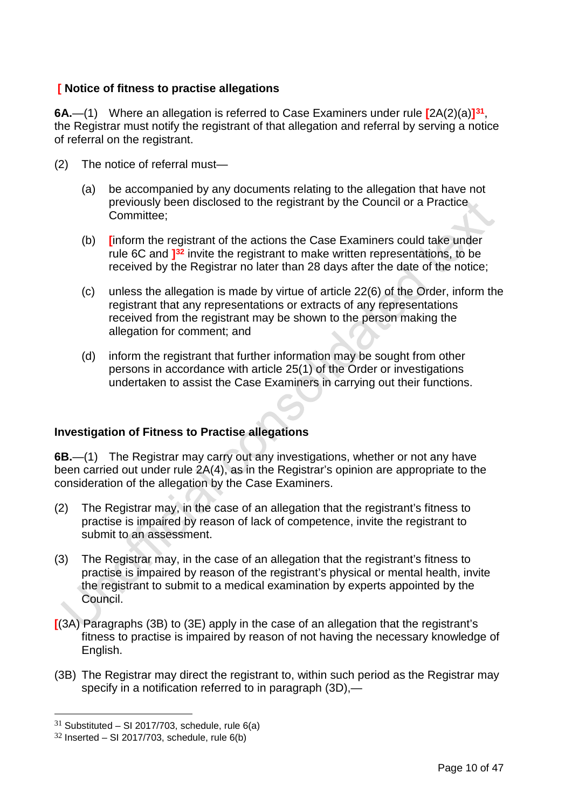## **[ Notice of fitness to practise allegations**

**6A.**—(1) Where an allegation is referred to Case Examiners under rule **[**2A(2)(a)**][31](#page-11-0)**, the Registrar must notify the registrant of that allegation and referral by serving a notice of referral on the registrant.

- (2) The notice of referral must—
	- (a) be accompanied by any documents relating to the allegation that have not previously been disclosed to the registrant by the Council or a Practice Committee;
	- (b) **[**inform the registrant of the actions the Case Examiners could take under rule 6C and **][32](#page-11-1)** invite the registrant to make written representations, to be received by the Registrar no later than 28 days after the date of the notice;
	- (c) unless the allegation is made by virtue of article 22(6) of the Order, inform the registrant that any representations or extracts of any representations received from the registrant may be shown to the person making the allegation for comment; and
	- (d) inform the registrant that further information may be sought from other persons in accordance with article 25(1) of the Order or investigations undertaken to assist the Case Examiners in carrying out their functions.

## **Investigation of Fitness to Practise allegations**

**6B.**—(1) The Registrar may carry out any investigations, whether or not any have been carried out under rule 2A(4), as in the Registrar's opinion are appropriate to the consideration of the allegation by the Case Examiners.

- (2) The Registrar may, in the case of an allegation that the registrant's fitness to practise is impaired by reason of lack of competence, invite the registrant to submit to an assessment.
- (3) The Registrar may, in the case of an allegation that the registrant's fitness to practise is impaired by reason of the registrant's physical or mental health, invite the registrant to submit to a medical examination by experts appointed by the Council.
- **[**(3A) Paragraphs (3B) to (3E) apply in the case of an allegation that the registrant's fitness to practise is impaired by reason of not having the necessary knowledge of English.
- (3B) The Registrar may direct the registrant to, within such period as the Registrar may specify in a notification referred to in paragraph (3D),—

<span id="page-11-0"></span> $31$  Substituted – SI 2017/703, schedule, rule 6(a)

<span id="page-11-1"></span> $32$  Inserted – SI 2017/703, schedule, rule 6(b)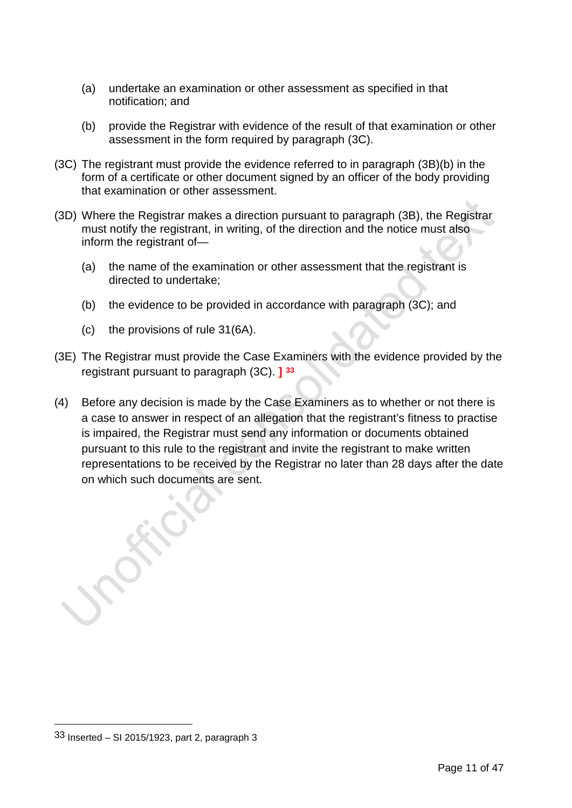- (a) undertake an examination or other assessment as specified in that notification; and
- (b) provide the Registrar with evidence of the result of that examination or other assessment in the form required by paragraph (3C).
- (3C) The registrant must provide the evidence referred to in paragraph (3B)(b) in the form of a certificate or other document signed by an officer of the body providing that examination or other assessment.
- (3D) Where the Registrar makes a direction pursuant to paragraph (3B), the Registrar must notify the registrant, in writing, of the direction and the notice must also inform the registrant of—
	- (a) the name of the examination or other assessment that the registrant is directed to undertake;
	- (b) the evidence to be provided in accordance with paragraph (3C); and
	- (c) the provisions of rule 31(6A).
- (3E) The Registrar must provide the Case Examiners with the evidence provided by the registrant pursuant to paragraph (3C). **] [33](#page-12-0)**
- (4) Before any decision is made by the Case Examiners as to whether or not there is a case to answer in respect of an allegation that the registrant's fitness to practise is impaired, the Registrar must send any information or documents obtained pursuant to this rule to the registrant and invite the registrant to make written representations to be received by the Registrar no later than 28 days after the date on which such documents are sent.

<span id="page-12-0"></span><sup>33</sup> Inserted – SI 2015/1923, part 2, paragraph 3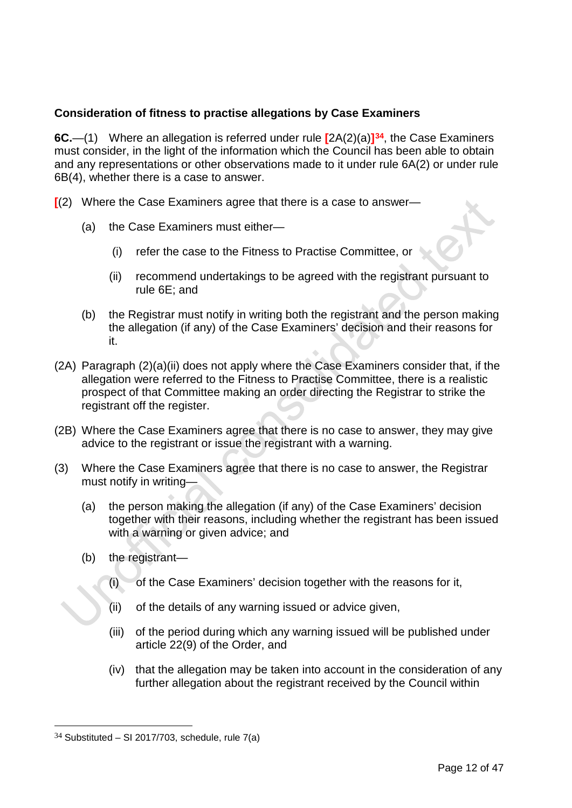## **Consideration of fitness to practise allegations by Case Examiners**

**6C.**—(1) Where an allegation is referred under rule **[**2A(2)(a)**][34](#page-13-0)**, the Case Examiners must consider, in the light of the information which the Council has been able to obtain and any representations or other observations made to it under rule 6A(2) or under rule 6B(4), whether there is a case to answer.

**[**(2) Where the Case Examiners agree that there is a case to answer—

- (a) the Case Examiners must either—
	- (i) refer the case to the Fitness to Practise Committee, or
	- (ii) recommend undertakings to be agreed with the registrant pursuant to rule 6E; and
- (b) the Registrar must notify in writing both the registrant and the person making the allegation (if any) of the Case Examiners' decision and their reasons for it.
- (2A) Paragraph (2)(a)(ii) does not apply where the Case Examiners consider that, if the allegation were referred to the Fitness to Practise Committee, there is a realistic prospect of that Committee making an order directing the Registrar to strike the registrant off the register.
- (2B) Where the Case Examiners agree that there is no case to answer, they may give advice to the registrant or issue the registrant with a warning.
- (3) Where the Case Examiners agree that there is no case to answer, the Registrar must notify in writing—
	- (a) the person making the allegation (if any) of the Case Examiners' decision together with their reasons, including whether the registrant has been issued with a warning or given advice; and
	- (b) the registrant—
		- (i) of the Case Examiners' decision together with the reasons for it,
		- (ii) of the details of any warning issued or advice given,
		- (iii) of the period during which any warning issued will be published under article 22(9) of the Order, and
		- (iv) that the allegation may be taken into account in the consideration of any further allegation about the registrant received by the Council within

<span id="page-13-0"></span> $34$  Substituted – SI 2017/703, schedule, rule 7(a)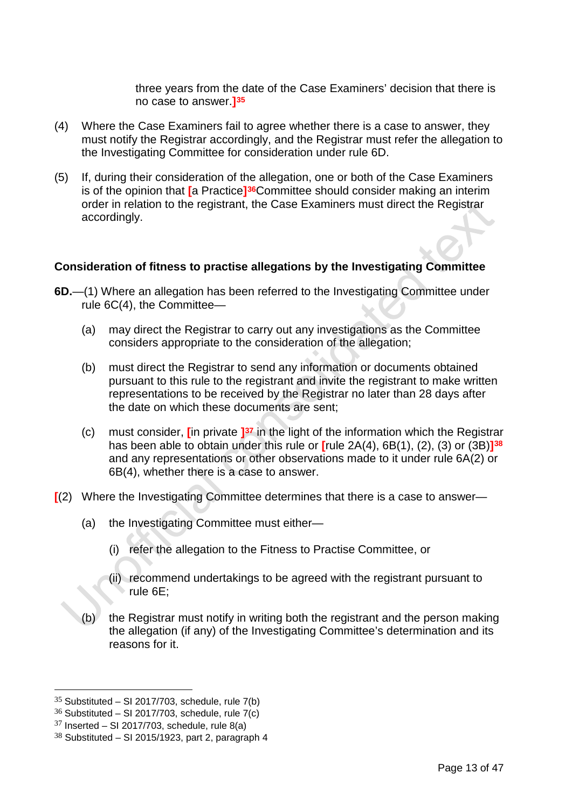three years from the date of the Case Examiners' decision that there is no case to answer.**][35](#page-14-0)**

- (4) Where the Case Examiners fail to agree whether there is a case to answer, they must notify the Registrar accordingly, and the Registrar must refer the allegation to the Investigating Committee for consideration under rule 6D.
- (5) If, during their consideration of the allegation, one or both of the Case Examiners is of the opinion that **[**a Practice**][36](#page-14-1)**Committee should consider making an interim order in relation to the registrant, the Case Examiners must direct the Registrar accordingly.

#### **Consideration of fitness to practise allegations by the Investigating Committee**

- **6D.**—(1) Where an allegation has been referred to the Investigating Committee under rule 6C(4), the Committee—
	- (a) may direct the Registrar to carry out any investigations as the Committee considers appropriate to the consideration of the allegation;
	- (b) must direct the Registrar to send any information or documents obtained pursuant to this rule to the registrant and invite the registrant to make written representations to be received by the Registrar no later than 28 days after the date on which these documents are sent;
	- (c) must consider, **[**in private **][37](#page-14-2)** in the light of the information which the Registrar has been able to obtain under this rule or **[**rule 2A(4), 6B(1), (2), (3) or (3B)**][38](#page-14-3)** and any representations or other observations made to it under rule 6A(2) or 6B(4), whether there is a case to answer.
- **[**(2) Where the Investigating Committee determines that there is a case to answer—
	- (a) the Investigating Committee must either—
		- (i) refer the allegation to the Fitness to Practise Committee, or
		- (ii) recommend undertakings to be agreed with the registrant pursuant to rule 6E;
	- (b) the Registrar must notify in writing both the registrant and the person making the allegation (if any) of the Investigating Committee's determination and its reasons for it.

<span id="page-14-0"></span> $35$  Substituted – SI 2017/703, schedule, rule 7(b)

<span id="page-14-1"></span> $36$  Substituted – SI 2017/703, schedule, rule 7(c)

<span id="page-14-2"></span> $37$  Inserted – SI 2017/703, schedule, rule 8(a)

<span id="page-14-3"></span> $38$  Substituted – SI 2015/1923, part 2, paragraph 4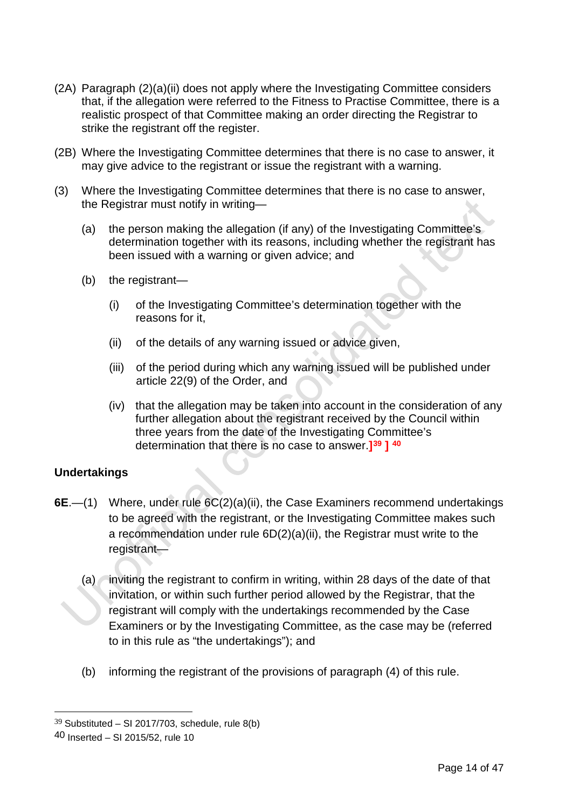- (2A) Paragraph (2)(a)(ii) does not apply where the Investigating Committee considers that, if the allegation were referred to the Fitness to Practise Committee, there is a realistic prospect of that Committee making an order directing the Registrar to strike the registrant off the register.
- (2B) Where the Investigating Committee determines that there is no case to answer, it may give advice to the registrant or issue the registrant with a warning.
- (3) Where the Investigating Committee determines that there is no case to answer, the Registrar must notify in writing—
	- (a) the person making the allegation (if any) of the Investigating Committee's determination together with its reasons, including whether the registrant has been issued with a warning or given advice; and
	- (b) the registrant—
		- (i) of the Investigating Committee's determination together with the reasons for it,
		- (ii) of the details of any warning issued or advice given,
		- (iii) of the period during which any warning issued will be published under article 22(9) of the Order, and
		- (iv) that the allegation may be taken into account in the consideration of any further allegation about the registrant received by the Council within three years from the date of the Investigating Committee's determination that there is no case to answer.**][39](#page-15-0) ] [40](#page-15-1)**

## **Undertakings**

- **6E**.—(1) Where, under rule 6C(2)(a)(ii), the Case Examiners recommend undertakings to be agreed with the registrant, or the Investigating Committee makes such a recommendation under rule 6D(2)(a)(ii), the Registrar must write to the registrant—
	- $(a)$  inviting the registrant to confirm in writing, within 28 days of the date of that invitation, or within such further period allowed by the Registrar, that the registrant will comply with the undertakings recommended by the Case Examiners or by the Investigating Committee, as the case may be (referred to in this rule as "the undertakings"); and
	- (b) informing the registrant of the provisions of paragraph (4) of this rule.

<span id="page-15-0"></span> $39$  Substituted – SI 2017/703, schedule, rule 8(b)

<span id="page-15-1"></span><sup>40</sup> Inserted – SI 2015/52, rule 10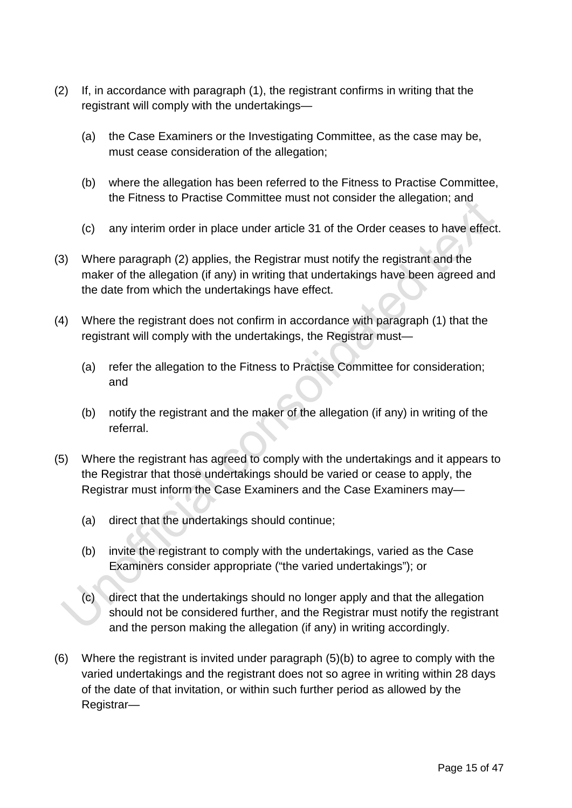- (2) If, in accordance with paragraph (1), the registrant confirms in writing that the registrant will comply with the undertakings—
	- (a) the Case Examiners or the Investigating Committee, as the case may be, must cease consideration of the allegation;
	- (b) where the allegation has been referred to the Fitness to Practise Committee, the Fitness to Practise Committee must not consider the allegation; and
	- (c) any interim order in place under article 31 of the Order ceases to have effect.
- (3) Where paragraph (2) applies, the Registrar must notify the registrant and the maker of the allegation (if any) in writing that undertakings have been agreed and the date from which the undertakings have effect.
- (4) Where the registrant does not confirm in accordance with paragraph (1) that the registrant will comply with the undertakings, the Registrar must—
	- (a) refer the allegation to the Fitness to Practise Committee for consideration; and
	- (b) notify the registrant and the maker of the allegation (if any) in writing of the referral.
- (5) Where the registrant has agreed to comply with the undertakings and it appears to the Registrar that those undertakings should be varied or cease to apply, the Registrar must inform the Case Examiners and the Case Examiners may—
	- (a) direct that the undertakings should continue;
	- (b) invite the registrant to comply with the undertakings, varied as the Case Examiners consider appropriate ("the varied undertakings"); or
	- (c) direct that the undertakings should no longer apply and that the allegation should not be considered further, and the Registrar must notify the registrant and the person making the allegation (if any) in writing accordingly.
- (6) Where the registrant is invited under paragraph (5)(b) to agree to comply with the varied undertakings and the registrant does not so agree in writing within 28 days of the date of that invitation, or within such further period as allowed by the Registrar—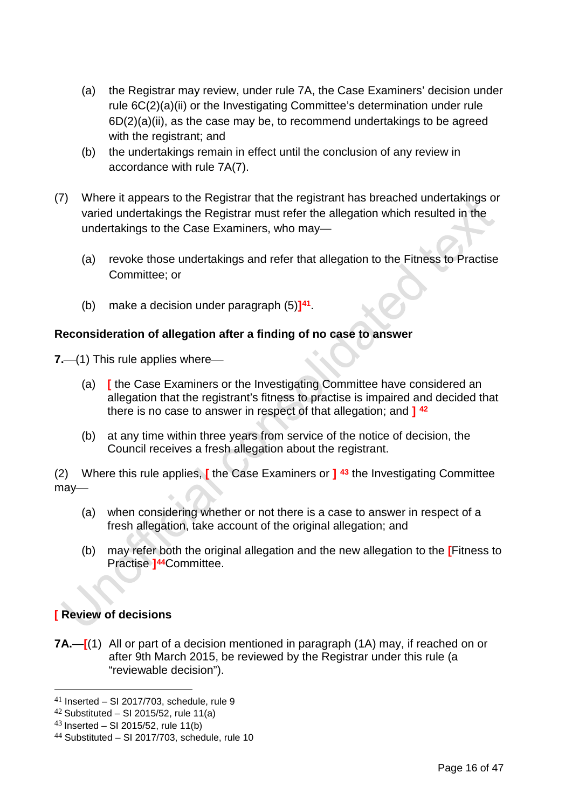- (a) the Registrar may review, under rule 7A, the Case Examiners' decision under rule 6C(2)(a)(ii) or the Investigating Committee's determination under rule 6D(2)(a)(ii), as the case may be, to recommend undertakings to be agreed with the registrant; and
- (b) the undertakings remain in effect until the conclusion of any review in accordance with rule 7A(7).
- (7) Where it appears to the Registrar that the registrant has breached undertakings or varied undertakings the Registrar must refer the allegation which resulted in the undertakings to the Case Examiners, who may—
	- (a) revoke those undertakings and refer that allegation to the Fitness to Practise Committee; or
	- (b) make a decision under paragraph (5)**][41](#page-17-0)**.

## **Reconsideration of allegation after a finding of no case to answer**

**7.** (1) This rule applies where

- (a) **[** the Case Examiners or the Investigating Committee have considered an allegation that the registrant's fitness to practise is impaired and decided that there is no case to answer in respect of that allegation; and **] [42](#page-17-1)**
- (b) at any time within three years from service of the notice of decision, the Council receives a fresh allegation about the registrant.

(2) Where this rule applies, **[** the Case Examiners or **] [43](#page-17-2)** the Investigating Committee may-

- (a) when considering whether or not there is a case to answer in respect of a fresh allegation, take account of the original allegation; and
- (b) may refer both the original allegation and the new allegation to the **[**Fitness to Practise **][44](#page-17-3)**Committee.

# **[ Review of decisions**

**7A.**—**[**(1) All or part of a decision mentioned in paragraph (1A) may, if reached on or after 9th March 2015, be reviewed by the Registrar under this rule (a "reviewable decision").

<span id="page-17-0"></span> $41$  Inserted – SI 2017/703, schedule, rule 9

<span id="page-17-1"></span> $42$  Substituted – SI 2015/52, rule 11(a)

<span id="page-17-2"></span> $43$  Inserted – SI 2015/52, rule 11(b)

<span id="page-17-3"></span> $44$  Substituted – SI 2017/703, schedule, rule 10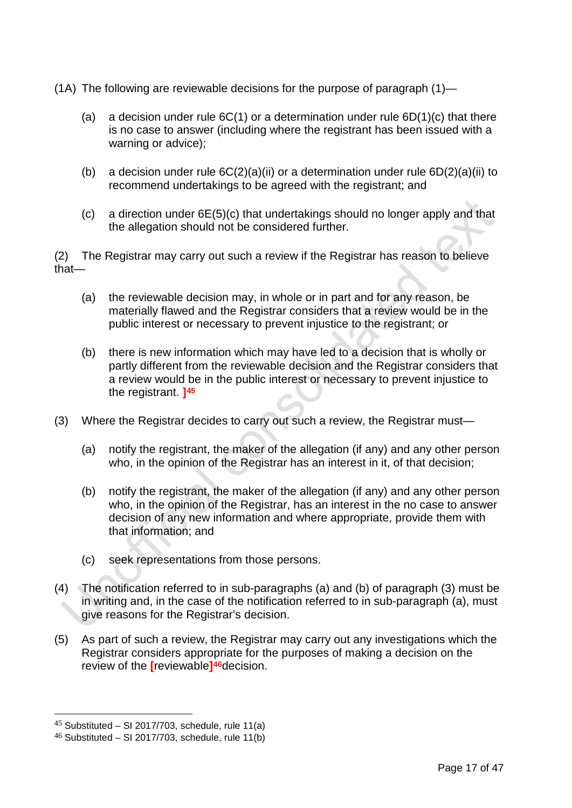(1A) The following are reviewable decisions for the purpose of paragraph (1)—

- (a) a decision under rule  $6C(1)$  or a determination under rule  $6D(1)(c)$  that there is no case to answer (including where the registrant has been issued with a warning or advice);
- (b) a decision under rule  $6C(2)(a)(ii)$  or a determination under rule  $6D(2)(a)(ii)$  to recommend undertakings to be agreed with the registrant; and
- (c) a direction under 6E(5)(c) that undertakings should no longer apply and that the allegation should not be considered further.

(2) The Registrar may carry out such a review if the Registrar has reason to believe that—

- (a) the reviewable decision may, in whole or in part and for any reason, be materially flawed and the Registrar considers that a review would be in the public interest or necessary to prevent injustice to the registrant; or
- (b) there is new information which may have led to a decision that is wholly or partly different from the reviewable decision and the Registrar considers that a review would be in the public interest or necessary to prevent injustice to the registrant. **][45](#page-18-0)**
- (3) Where the Registrar decides to carry out such a review, the Registrar must—
	- (a) notify the registrant, the maker of the allegation (if any) and any other person who, in the opinion of the Registrar has an interest in it, of that decision;
	- (b) notify the registrant, the maker of the allegation (if any) and any other person who, in the opinion of the Registrar, has an interest in the no case to answer decision of any new information and where appropriate, provide them with that information; and
	- (c) seek representations from those persons.
- (4) The notification referred to in sub-paragraphs (a) and (b) of paragraph (3) must be in writing and, in the case of the notification referred to in sub-paragraph (a), must give reasons for the Registrar's decision.
- (5) As part of such a review, the Registrar may carry out any investigations which the Registrar considers appropriate for the purposes of making a decision on the review of the **[**reviewable**][46](#page-18-1)**decision.

<span id="page-18-0"></span> $45$  Substituted – SI 2017/703, schedule, rule 11(a)

<span id="page-18-1"></span> $46$  Substituted – SI 2017/703, schedule, rule 11(b)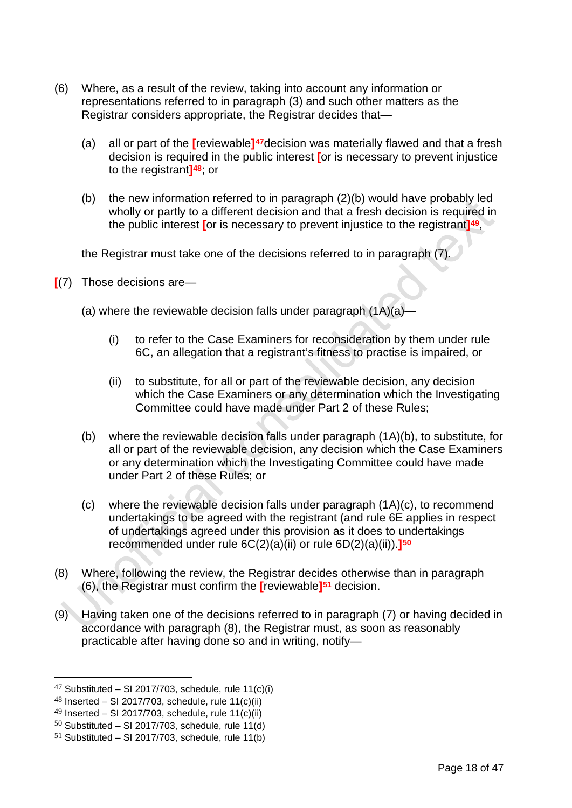- (6) Where, as a result of the review, taking into account any information or representations referred to in paragraph (3) and such other matters as the Registrar considers appropriate, the Registrar decides that—
	- (a) all or part of the **[**reviewable**][47](#page-19-0)**decision was materially flawed and that a fresh decision is required in the public interest **[**or is necessary to prevent injustice to the registrant**][48](#page-19-1)**; or
	- (b) the new information referred to in paragraph (2)(b) would have probably led wholly or partly to a different decision and that a fresh decision is required in the public interest **[**or is necessary to prevent injustice to the registrant**][49](#page-19-2)**,

the Registrar must take one of the decisions referred to in paragraph (7).

- **[**(7) Those decisions are—
	- (a) where the reviewable decision falls under paragraph  $(1A)(a)$ -
		- (i) to refer to the Case Examiners for reconsideration by them under rule 6C, an allegation that a registrant's fitness to practise is impaired, or
		- (ii) to substitute, for all or part of the reviewable decision, any decision which the Case Examiners or any determination which the Investigating Committee could have made under Part 2 of these Rules;
	- (b) where the reviewable decision falls under paragraph (1A)(b), to substitute, for all or part of the reviewable decision, any decision which the Case Examiners or any determination which the Investigating Committee could have made under Part 2 of these Rules; or
	- (c) where the reviewable decision falls under paragraph (1A)(c), to recommend undertakings to be agreed with the registrant (and rule 6E applies in respect of undertakings agreed under this provision as it does to undertakings recommended under rule 6C(2)(a)(ii) or rule 6D(2)(a)(ii)).**][50](#page-19-3)**
- (8) Where, following the review, the Registrar decides otherwise than in paragraph (6), the Registrar must confirm the **[**reviewable**][51](#page-19-4)** decision.
- (9) Having taken one of the decisions referred to in paragraph (7) or having decided in accordance with paragraph (8), the Registrar must, as soon as reasonably practicable after having done so and in writing, notify—

<span id="page-19-0"></span><sup>&</sup>lt;sup>47</sup> Substituted – SI 2017/703, schedule, rule  $11(c)(i)$ 

<span id="page-19-1"></span> $48$  Inserted – SI 2017/703, schedule, rule 11(c)(ii)

<span id="page-19-2"></span> $49$  Inserted – SI 2017/703, schedule, rule 11(c)(ii)

<span id="page-19-3"></span> $50$  Substituted – SI 2017/703, schedule, rule 11(d)

<span id="page-19-4"></span> $51$  Substituted – SI 2017/703, schedule, rule 11(b)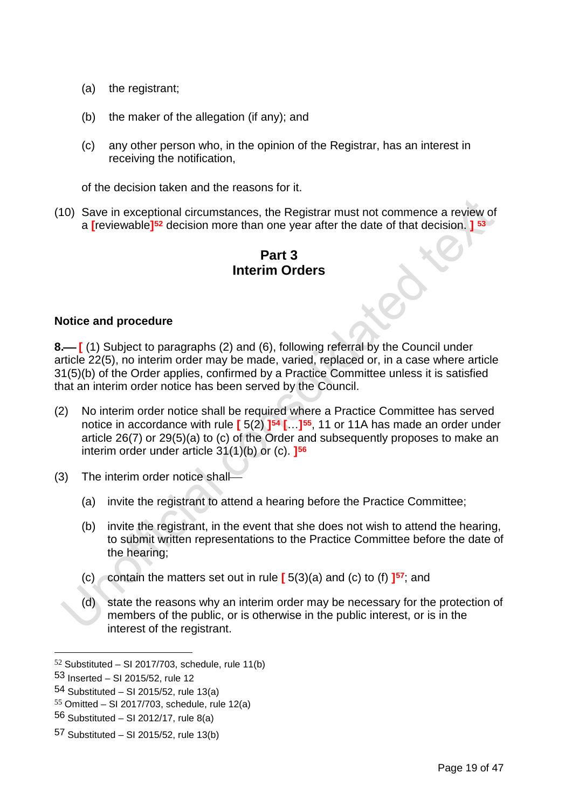- (a) the registrant;
- (b) the maker of the allegation (if any); and
- (c) any other person who, in the opinion of the Registrar, has an interest in receiving the notification,

of the decision taken and the reasons for it.

(10) Save in exceptional circumstances, the Registrar must not commence a review of a **[**reviewable**][52](#page-20-0)** decision more than one year after the date of that decision. **] [53](#page-20-1)**

# **Part 3 Interim Orders**

## **Notice and procedure**

**8.** [(1) Subject to paragraphs (2) and (6), following referral by the Council under article 22(5), no interim order may be made, varied, replaced or, in a case where article 31(5)(b) of the Order applies, confirmed by a Practice Committee unless it is satisfied that an interim order notice has been served by the Council.

- (2) No interim order notice shall be required where a Practice Committee has served notice in accordance with rule **[** 5(2) **][54](#page-20-2) [**…**][55](#page-20-3)**, 11 or 11A has made an order under article 26(7) or 29(5)(a) to (c) of the Order and subsequently proposes to make an interim order under article 31(1)(b) or (c). **][56](#page-20-4)**
- (3) The interim order notice shall
	- (a) invite the registrant to attend a hearing before the Practice Committee;
	- (b) invite the registrant, in the event that she does not wish to attend the hearing, to submit written representations to the Practice Committee before the date of the hearing;
	- (c) contain the matters set out in rule **[** 5(3)(a) and (c) to (f) **][57](#page-20-5)**; and
	- (d) state the reasons why an interim order may be necessary for the protection of members of the public, or is otherwise in the public interest, or is in the interest of the registrant.

<span id="page-20-0"></span> $52$  Substituted – SI 2017/703, schedule, rule 11(b)

<span id="page-20-1"></span><sup>53</sup> Inserted – SI 2015/52, rule 12

<span id="page-20-2"></span><sup>54</sup> Substituted – SI 2015/52, rule 13(a)

<span id="page-20-3"></span> $55$  Omitted – SI 2017/703, schedule, rule 12(a)

<span id="page-20-4"></span> $56$  Substituted – SI 2012/17, rule 8(a)

<span id="page-20-5"></span><sup>57</sup> Substituted – SI 2015/52, rule 13(b)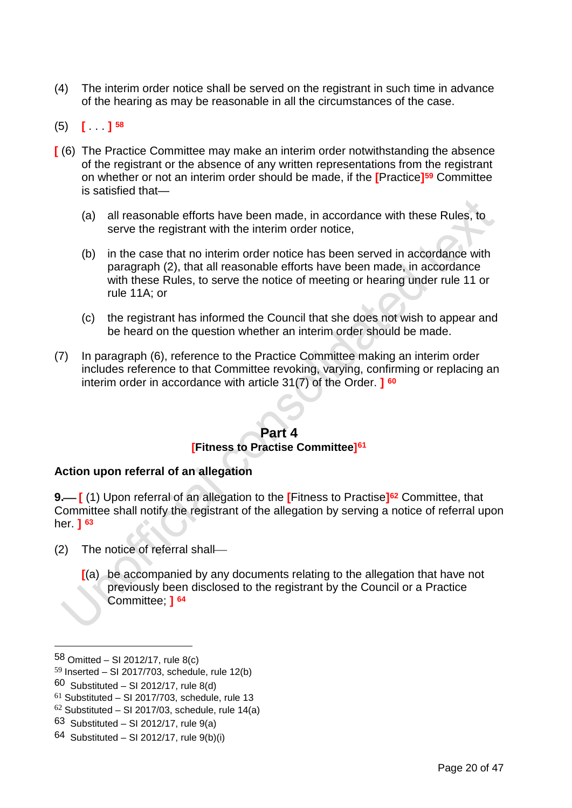- (4) The interim order notice shall be served on the registrant in such time in advance of the hearing as may be reasonable in all the circumstances of the case.
- (5) **[** . . . **] [58](#page-21-0)**
- **[** (6) The Practice Committee may make an interim order notwithstanding the absence of the registrant or the absence of any written representations from the registrant on whether or not an interim order should be made, if the **[**Practice**][59](#page-21-1)** Committee is satisfied that—
	- (a) all reasonable efforts have been made, in accordance with these Rules, to serve the registrant with the interim order notice.
	- (b) in the case that no interim order notice has been served in accordance with paragraph (2), that all reasonable efforts have been made, in accordance with these Rules, to serve the notice of meeting or hearing under rule 11 or rule 11A; or
	- (c) the registrant has informed the Council that she does not wish to appear and be heard on the question whether an interim order should be made.
- (7) In paragraph (6), reference to the Practice Committee making an interim order includes reference to that Committee revoking, varying, confirming or replacing an interim order in accordance with article 31(7) of the Order. **] [60](#page-21-2)**

# **Part 4**

## **[Fitness to Practise Committee][61](#page-21-3)**

## **Action upon referral of an allegation**

**9. [** (1) Upon referral of an allegation to the **[**Fitness to Practise**][62](#page-21-4)** Committee, that Committee shall notify the registrant of the allegation by serving a notice of referral upon her. **] [63](#page-21-5)**

- (2) The notice of referral shall
	- **[**(a) be accompanied by any documents relating to the allegation that have not previously been disclosed to the registrant by the Council or a Practice Committee; **] [64](#page-21-6)**

-

<span id="page-21-5"></span>63 Substituted – SI 2012/17, rule  $9(a)$ 

<span id="page-21-0"></span><sup>58</sup> Omitted – SI 2012/17, rule  $8(c)$ 

<span id="page-21-1"></span> $59$  Inserted – SI 2017/703, schedule, rule 12(b)

<span id="page-21-2"></span> $60$  Substituted – SI 2012/17, rule 8(d)

<span id="page-21-3"></span> $61$  Substituted – SI 2017/703, schedule, rule 13

<span id="page-21-4"></span> $62$  Substituted – SI 2017/03, schedule, rule 14(a)

<span id="page-21-6"></span><sup>64</sup> Substituted – SI 2012/17, rule  $9(b)(i)$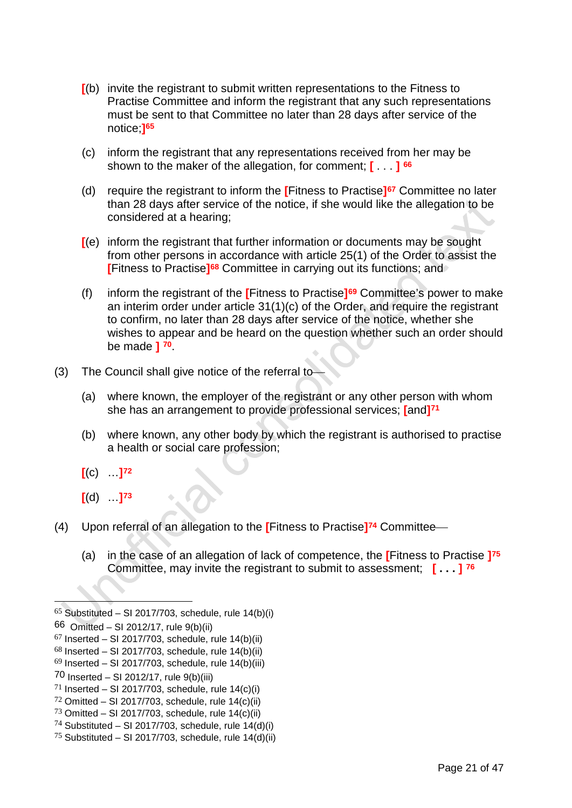- **[**(b) invite the registrant to submit written representations to the Fitness to Practise Committee and inform the registrant that any such representations must be sent to that Committee no later than 28 days after service of the notice;**][65](#page-22-0)**
- (c) inform the registrant that any representations received from her may be shown to the maker of the allegation, for comment; **[** . . . **] [66](#page-22-1)**
- (d) require the registrant to inform the **[**Fitness to Practise**][67](#page-22-2)** Committee no later than 28 days after service of the notice, if she would like the allegation to be considered at a hearing;
- **[**(e) inform the registrant that further information or documents may be sought from other persons in accordance with article 25(1) of the Order to assist the **[**Fitness to Practise**][68](#page-22-3)** Committee in carrying out its functions; and
- (f) inform the registrant of the **[**Fitness to Practise**][69](#page-22-4)** Committee's power to make an interim order under article 31(1)(c) of the Order, and require the registrant to confirm, no later than 28 days after service of the notice, whether she wishes to appear and be heard on the question whether such an order should be made **] [70](#page-22-5)**.
- (3) The Council shall give notice of the referral to
	- (a) where known, the employer of the registrant or any other person with whom she has an arrangement to provide professional services; **[**and**][71](#page-22-6)**
	- (b) where known, any other body by which the registrant is authorised to practise a health or social care profession;
	- **[**(c) …**][72](#page-22-7)**
	- **[**(d) …**][73](#page-22-8)**
- (4) Upon referral of an allegation to the **[**Fitness to Practise**][74](#page-22-9)** Committee
	- (a) in the case of an allegation of lack of competence, the **[**Fitness to Practise **][75](#page-22-10)** Committee, may invite the registrant to submit to assessment; **[ . . . ] [76](#page-22-11)**

<span id="page-22-11"></span><span id="page-22-0"></span> $65$  Substituted – SI 2017/703, schedule, rule 14(b)(i)

<span id="page-22-1"></span><sup>66</sup> Omitted – SI 2012/17, rule 9(b)(ii)

<span id="page-22-2"></span> $67$  Inserted – SI 2017/703, schedule, rule 14(b)(ii)

<span id="page-22-3"></span> $68$  Inserted – SI 2017/703, schedule, rule 14(b)(ii)

<span id="page-22-4"></span> $69$  Inserted – SI 2017/703, schedule, rule 14(b)(iii)

<span id="page-22-5"></span><sup>70</sup> Inserted – SI 2012/17, rule  $9(b)(iii)$ 

<span id="page-22-6"></span> $71$  Inserted – SI 2017/703, schedule, rule 14(c)(i)

<span id="page-22-7"></span> $72$  Omitted – SI 2017/703, schedule, rule 14(c)(ii)

<span id="page-22-8"></span> $73$  Omitted – SI 2017/703, schedule, rule 14(c)(ii)

<span id="page-22-9"></span><sup>&</sup>lt;sup>74</sup> Substituted – SI 2017/703, schedule, rule  $14(d)(i)$ 

<span id="page-22-10"></span><sup>&</sup>lt;sup>75</sup> Substituted – SI 2017/703, schedule, rule  $14(d)(ii)$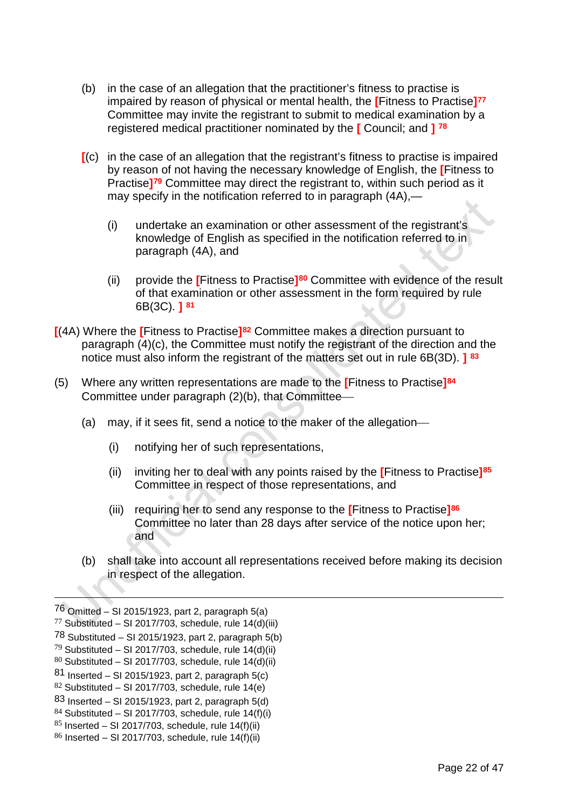- (b) in the case of an allegation that the practitioner's fitness to practise is impaired by reason of physical or mental health, the **[**Fitness to Practise**][77](#page-23-0)** Committee may invite the registrant to submit to medical examination by a registered medical practitioner nominated by the **[** Council; and **] [78](#page-23-1)**
- **[**(c) in the case of an allegation that the registrant's fitness to practise is impaired by reason of not having the necessary knowledge of English, the **[**Fitness to Practise**][79](#page-23-2)** Committee may direct the registrant to, within such period as it may specify in the notification referred to in paragraph (4A),—
	- (i) undertake an examination or other assessment of the registrant's knowledge of English as specified in the notification referred to in paragraph (4A), and
	- (ii) provide the **[**Fitness to Practise**][80](#page-23-3)** Committee with evidence of the result of that examination or other assessment in the form required by rule 6B(3C). **] [81](#page-23-4)**
- **[**(4A) Where the **[**Fitness to Practise**][82](#page-23-5)** Committee makes a direction pursuant to paragraph (4)(c), the Committee must notify the registrant of the direction and the notice must also inform the registrant of the matters set out in rule 6B(3D). **] [83](#page-23-6)**
- (5) Where any written representations are made to the **[**Fitness to Practise**][84](#page-23-7)** Committee under paragraph (2)(b), that Committee
	- (a) may, if it sees fit, send a notice to the maker of the allegation
		- (i) notifying her of such representations,
		- (ii) inviting her to deal with any points raised by the **[**Fitness to Practise**][85](#page-23-8)** Committee in respect of those representations, and
		- (iii) requiring her to send any response to the **[**Fitness to Practise**][86](#page-23-9)** Committee no later than 28 days after service of the notice upon her; and
	- (b) shall take into account all representations received before making its decision in respect of the allegation.

 $76$  Omitted – SI 2015/1923, part 2, paragraph 5(a)

<span id="page-23-0"></span> $77$  Substituted – SI 2017/703, schedule, rule 14(d)(iii)

<span id="page-23-1"></span> $78$  Substituted – SI 2015/1923, part 2, paragraph 5(b)

<span id="page-23-2"></span> $79$  Substituted – SI 2017/703, schedule, rule 14(d)(ii)

<span id="page-23-3"></span> $80$  Substituted – SI 2017/703, schedule, rule 14(d)(ii)

<span id="page-23-4"></span> $81$  Inserted – SI 2015/1923, part 2, paragraph 5(c)

<span id="page-23-5"></span> $82$  Substituted – SI 2017/703, schedule, rule 14(e)

<span id="page-23-6"></span> $83$  Inserted – SI 2015/1923, part 2, paragraph 5(d)

<span id="page-23-7"></span> $84$  Substituted – SI 2017/703, schedule, rule 14(f)(i)

<span id="page-23-8"></span> $85$  Inserted – SI 2017/703, schedule, rule 14(f)(ii)

<span id="page-23-9"></span> $86$  Inserted – SI 2017/703, schedule, rule 14(f)(ii)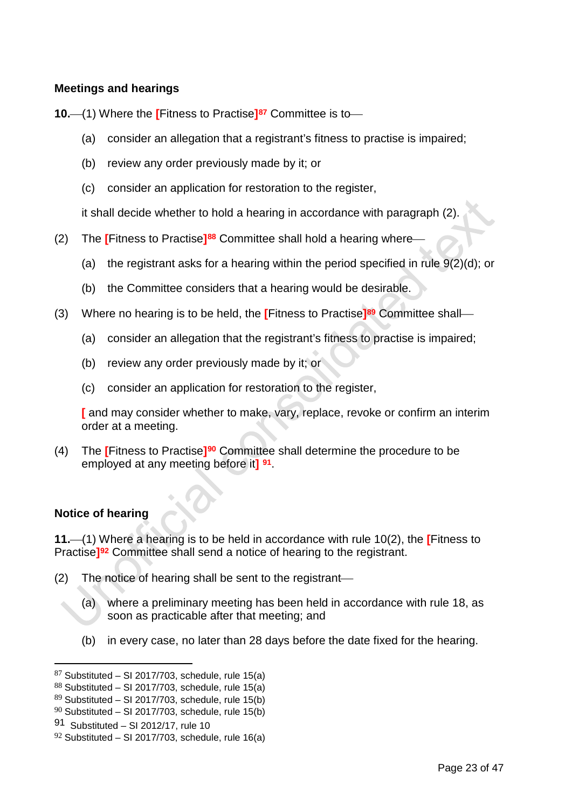## **Meetings and hearings**

**10.**—(1) Where the **[Fitness to Practise]<sup>[87](#page-24-0)</sup> Committee is to—** 

- (a) consider an allegation that a registrant's fitness to practise is impaired;
- (b) review any order previously made by it; or
- (c) consider an application for restoration to the register,

it shall decide whether to hold a hearing in accordance with paragraph (2).

- (2) The **[**Fitness to Practise**][88](#page-24-1)** Committee shall hold a hearing where
	- (a) the registrant asks for a hearing within the period specified in rule  $9(2)(d)$ ; or
	- (b) the Committee considers that a hearing would be desirable.
- (3) Where no hearing is to be held, the **[**Fitness to Practise**][89](#page-24-2)** Committee shall
	- (a) consider an allegation that the registrant's fitness to practise is impaired;
	- (b) review any order previously made by it; or
	- (c) consider an application for restoration to the register,

**[** and may consider whether to make, vary, replace, revoke or confirm an interim order at a meeting.

(4) The **[**Fitness to Practise**][90](#page-24-3)** Committee shall determine the procedure to be employed at any meeting before it**] [91](#page-24-4)**.

## **Notice of hearing**

**11.**(1) Where a hearing is to be held in accordance with rule 10(2), the **[**Fitness to Practise**][92](#page-24-5)** Committee shall send a notice of hearing to the registrant.

- (2) The notice of hearing shall be sent to the registrant
	- (a) where a preliminary meeting has been held in accordance with rule 18, as soon as practicable after that meeting; and
	- (b) in every case, no later than 28 days before the date fixed for the hearing.

<span id="page-24-0"></span> $87$  Substituted – SI 2017/703, schedule, rule 15(a)

<span id="page-24-1"></span> $88$  Substituted – SI 2017/703, schedule, rule 15(a)

<span id="page-24-2"></span> $89$  Substituted – SI 2017/703, schedule, rule 15(b)

<span id="page-24-3"></span> $90$  Substituted – SI 2017/703, schedule, rule 15(b)

<span id="page-24-4"></span><sup>91</sup> Substituted – SI 2012/17, rule 10

<span id="page-24-5"></span> $92$  Substituted – SI 2017/703, schedule, rule 16(a)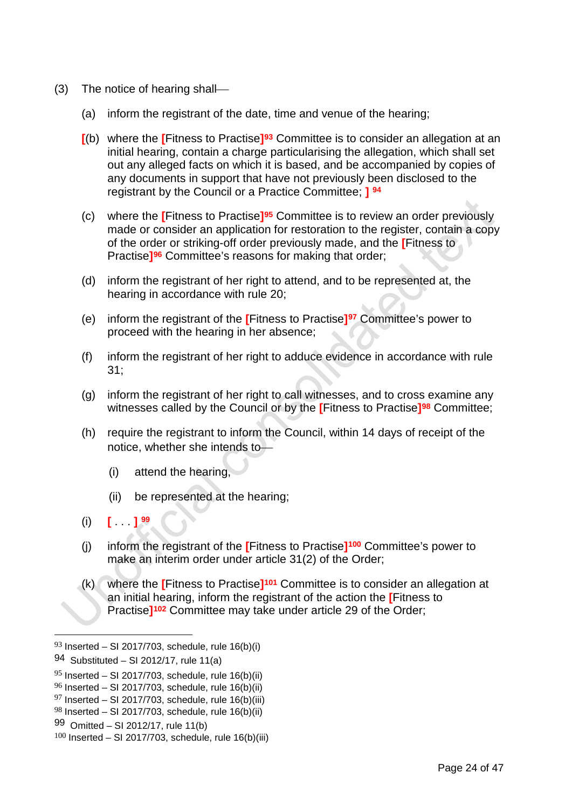- (3) The notice of hearing shall
	- (a) inform the registrant of the date, time and venue of the hearing;
	- **[**(b) where the **[**Fitness to Practise**][93](#page-25-0)** Committee is to consider an allegation at an initial hearing, contain a charge particularising the allegation, which shall set out any alleged facts on which it is based, and be accompanied by copies of any documents in support that have not previously been disclosed to the registrant by the Council or a Practice Committee; **] [94](#page-25-1)**
	- (c) where the **[**Fitness to Practise**][95](#page-25-2)** Committee is to review an order previously made or consider an application for restoration to the register, contain a copy of the order or striking-off order previously made, and the **[**Fitness to Practise**][96](#page-25-3)** Committee's reasons for making that order;
	- (d) inform the registrant of her right to attend, and to be represented at, the hearing in accordance with rule 20;
	- (e) inform the registrant of the **[**Fitness to Practise**][97](#page-25-4)** Committee's power to proceed with the hearing in her absence;
	- (f) inform the registrant of her right to adduce evidence in accordance with rule 31;
	- (g) inform the registrant of her right to call witnesses, and to cross examine any witnesses called by the Council or by the **[**Fitness to Practise**][98](#page-25-5)** Committee;
	- (h) require the registrant to inform the Council, within 14 days of receipt of the notice, whether she intends to
		- (i) attend the hearing,
		- (ii) be represented at the hearing;
	- (i) **[** . . . **] [99](#page-25-6)**
	- (j) inform the registrant of the **[**Fitness to Practise**][100](#page-25-7)** Committee's power to make an interim order under article 31(2) of the Order;
	- (k) where the **[**Fitness to Practise**][101](#page-25-8)** Committee is to consider an allegation at an initial hearing, inform the registrant of the action the **[**Fitness to Practise**][102](#page-25-9)** Committee may take under article 29 of the Order;

<span id="page-25-8"></span><span id="page-25-0"></span> $93$  Inserted – SI 2017/703, schedule, rule 16(b)(i)

<span id="page-25-9"></span><span id="page-25-1"></span><sup>94</sup> Substituted – SI 2012/17, rule 11(a)

<span id="page-25-2"></span> $95$  Inserted – SI 2017/703, schedule, rule 16(b)(ii)

<span id="page-25-3"></span> $96$  Inserted – SI 2017/703, schedule, rule 16(b)(ii)

<span id="page-25-4"></span> $97$  Inserted – SI 2017/703, schedule, rule 16(b)(iii)

<span id="page-25-5"></span> $98$  Inserted – SI 2017/703, schedule, rule 16(b)(ii)

<span id="page-25-6"></span><sup>99</sup> Omitted – SI 2012/17, rule 11(b)

<span id="page-25-7"></span> $100$  Inserted – SI 2017/703, schedule, rule 16(b)(iii)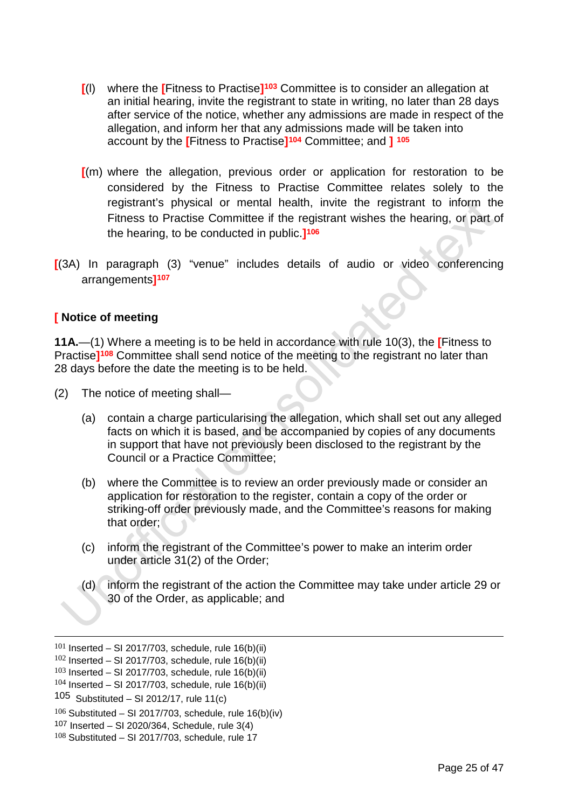- **[**(l) where the **[**Fitness to Practise**][103](#page-26-0)** Committee is to consider an allegation at an initial hearing, invite the registrant to state in writing, no later than 28 days after service of the notice, whether any admissions are made in respect of the allegation, and inform her that any admissions made will be taken into account by the **[**Fitness to Practise**][104](#page-26-1)** Committee; and **] [105](#page-26-2)**
- **[**(m) where the allegation, previous order or application for restoration to be considered by the Fitness to Practise Committee relates solely to the registrant's physical or mental health, invite the registrant to inform the Fitness to Practise Committee if the registrant wishes the hearing, or part of the hearing, to be conducted in public.**][106](#page-26-3)**
- **[**(3A) In paragraph (3) "venue" includes details of audio or video conferencing arrangements**][107](#page-26-4)**

## **[ Notice of meeting**

**11A.**—(1) Where a meeting is to be held in accordance with rule 10(3), the **[**Fitness to Practise**][108](#page-26-5)** Committee shall send notice of the meeting to the registrant no later than 28 days before the date the meeting is to be held.

- (2) The notice of meeting shall—
	- (a) contain a charge particularising the allegation, which shall set out any alleged facts on which it is based, and be accompanied by copies of any documents in support that have not previously been disclosed to the registrant by the Council or a Practice Committee;
	- (b) where the Committee is to review an order previously made or consider an application for restoration to the register, contain a copy of the order or striking-off order previously made, and the Committee's reasons for making that order;
	- (c) inform the registrant of the Committee's power to make an interim order under article 31(2) of the Order;
	- (d) inform the registrant of the action the Committee may take under article 29 or 30 of the Order, as applicable; and

 $101$  Inserted – SI 2017/703, schedule, rule 16(b)(ii)

 $102$  Inserted – SI 2017/703, schedule, rule 16(b)(ii)

<span id="page-26-0"></span> $103$  Inserted – SI 2017/703, schedule, rule 16(b)(ii)

<span id="page-26-1"></span> $104$  Inserted – SI 2017/703, schedule, rule 16(b)(ii)

<span id="page-26-2"></span><sup>105</sup> Substituted – SI 2012/17, rule 11(c)

<span id="page-26-3"></span> $106$  Substituted – SI 2017/703, schedule, rule 16(b)(iv)

<span id="page-26-4"></span><sup>107</sup> Inserted – SI 2020/364, Schedule, rule 3(4)

<span id="page-26-5"></span> $108$  Substituted - SI 2017/703, schedule, rule 17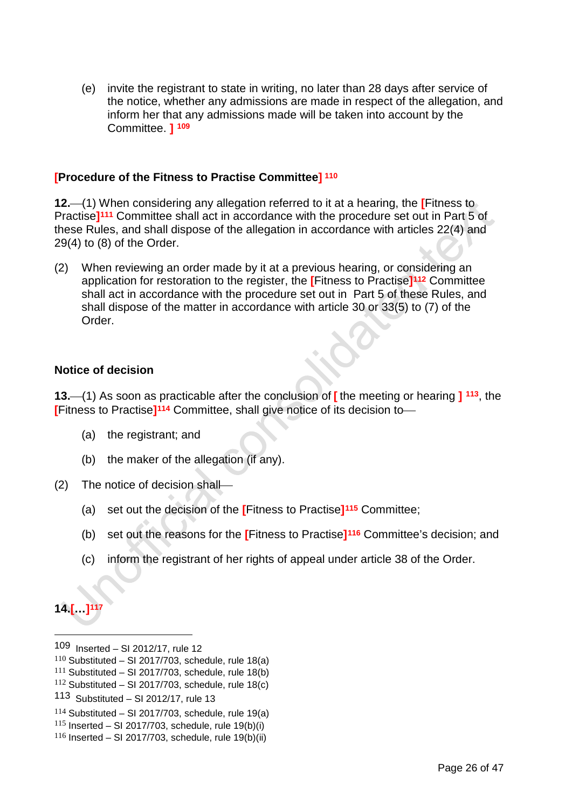(e) invite the registrant to state in writing, no later than 28 days after service of the notice, whether any admissions are made in respect of the allegation, and inform her that any admissions made will be taken into account by the Committee. **] [109](#page-27-0)**

## **[Procedure of the Fitness to Practise Committee] [110](#page-27-1)**

**12.**(1) When considering any allegation referred to it at a hearing, the **[**Fitness to Practise**][111](#page-27-2)** Committee shall act in accordance with the procedure set out in Part 5 of these Rules, and shall dispose of the allegation in accordance with articles 22(4) and 29(4) to (8) of the Order.

(2) When reviewing an order made by it at a previous hearing, or considering an application for restoration to the register, the **[**Fitness to Practise**][112](#page-27-3)** Committee shall act in accordance with the procedure set out in Part 5 of these Rules, and shall dispose of the matter in accordance with article 30 or 33(5) to (7) of the Order.

#### **Notice of decision**

**13.**(1) As soon as practicable after the conclusion of **[** the meeting or hearing **] [113](#page-27-4)**, the **[**Fitness to Practise**][114](#page-27-5)** Committee, shall give notice of its decision to

- (a) the registrant; and
- (b) the maker of the allegation (if any).
- (2) The notice of decision shall
	- (a) set out the decision of the **[**Fitness to Practise**][115](#page-27-6)** Committee;
	- (b) set out the reasons for the **[**Fitness to Practise**][116](#page-27-7)** Committee's decision; and
	- (c) inform the registrant of her rights of appeal under article 38 of the Order.

**14.[…][117](#page-27-6)**

<span id="page-27-0"></span><sup>109</sup> Inserted – SI 2012/17, rule 12

<span id="page-27-1"></span> $110$  Substituted – SI 2017/703, schedule, rule 18(a)

<span id="page-27-2"></span> $111$  Substituted – SI 2017/703, schedule, rule 18(b)

<span id="page-27-3"></span> $112$  Substituted – SI 2017/703, schedule, rule 18(c)

<span id="page-27-4"></span><sup>113</sup> Substituted – SI 2012/17, rule 13

<span id="page-27-5"></span> $114$  Substituted – SI 2017/703, schedule, rule 19(a)

<span id="page-27-6"></span> $115$  Inserted – SI 2017/703, schedule, rule 19(b)(i)

<span id="page-27-7"></span> $116$  Inserted – SI 2017/703, schedule, rule 19(b)(ii)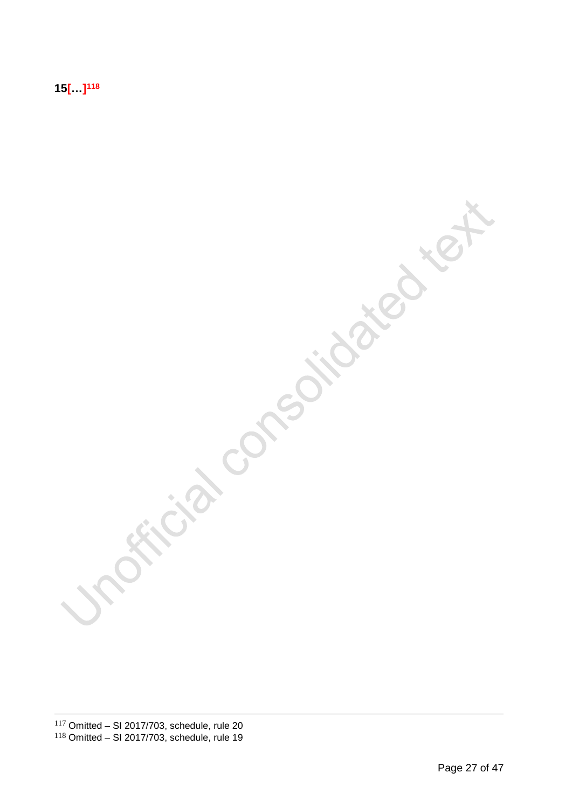**15[…[\]118](#page-28-0)**

<span id="page-28-0"></span>Fricial consolidated text **SERVICE**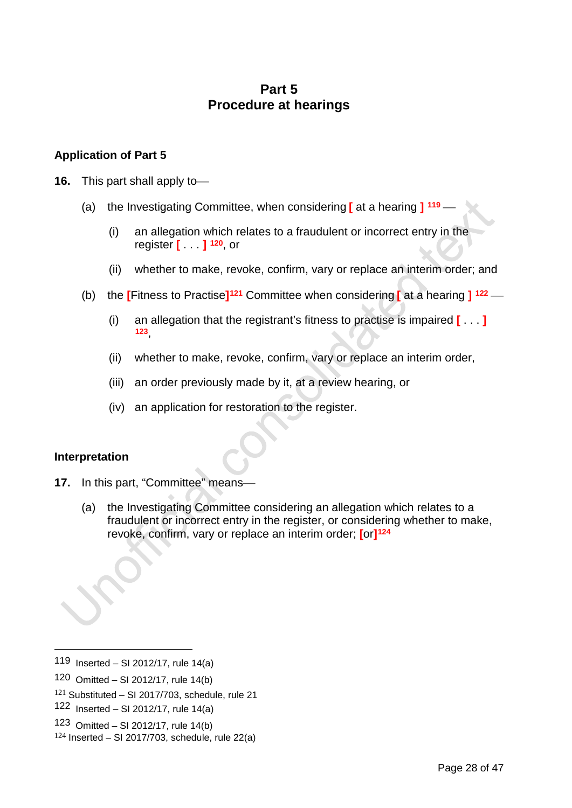# **Part 5 Procedure at hearings**

## **Application of Part 5**

- **16.** This part shall apply to
	- (a) the Investigating Committee, when considering **[** at a hearing **] [119](#page-29-0)**
		- (i) an allegation which relates to a fraudulent or incorrect entry in the register **[** . . . **] [120](#page-29-1)**, or
		- (ii) whether to make, revoke, confirm, vary or replace an interim order; and
	- (b) the **[**Fitness to Practise**][121](#page-29-2)** Committee when considering **[** at a hearing **] [122](#page-29-3)**
		- (i) an allegation that the registrant's fitness to practise is impaired **[** . . . **] [123](#page-29-4)**,
		- (ii) whether to make, revoke, confirm, vary or replace an interim order,
		- (iii) an order previously made by it, at a review hearing, or
		- (iv) an application for restoration to the register.

## **Interpretation**

-

- **17.** In this part, "Committee" means
	- (a) the Investigating Committee considering an allegation which relates to a fraudulent or incorrect entry in the register, or considering whether to make, revoke, confirm, vary or replace an interim order; **[**or**][124](#page-29-5)**

<span id="page-29-1"></span>120 Omitted – SI 2012/17, rule 14(b)

<span id="page-29-4"></span>123 Omitted – SI 2012/17, rule 14(b)

<span id="page-29-0"></span><sup>119</sup> Inserted – SI 2012/17, rule 14(a)

<span id="page-29-2"></span> $121$  Substituted – SI 2017/703, schedule, rule 21

<span id="page-29-3"></span><sup>122</sup> Inserted – SI 2012/17, rule 14(a)

<span id="page-29-5"></span> $124$  Inserted – SI 2017/703, schedule, rule 22(a)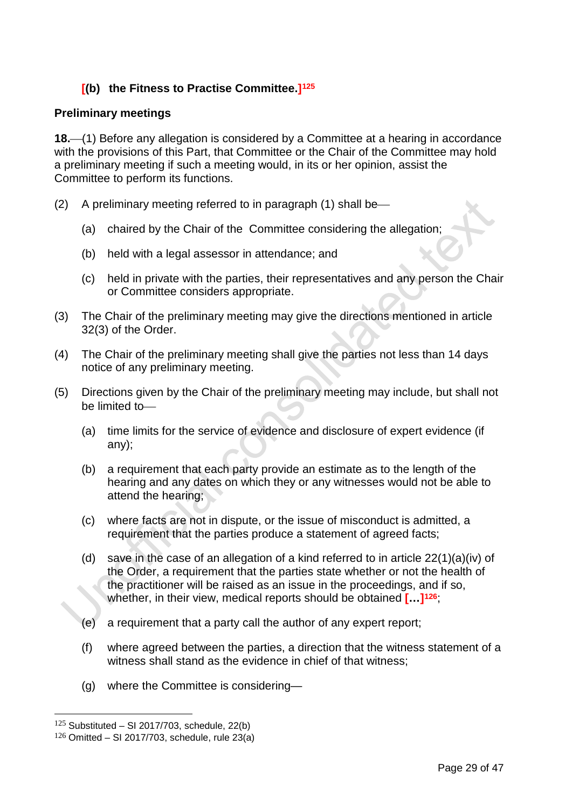## **[(b) the Fitness to Practise Committee.][125](#page-30-0)**

## **Preliminary meetings**

18.—(1) Before any allegation is considered by a Committee at a hearing in accordance with the provisions of this Part, that Committee or the Chair of the Committee may hold a preliminary meeting if such a meeting would, in its or her opinion, assist the Committee to perform its functions.

- (2) A preliminary meeting referred to in paragraph  $(1)$  shall be-
	- (a) chaired by the Chair of the Committee considering the allegation;
	- (b) held with a legal assessor in attendance; and
	- (c) held in private with the parties, their representatives and any person the Chair or Committee considers appropriate.
- (3) The Chair of the preliminary meeting may give the directions mentioned in article 32(3) of the Order.
- (4) The Chair of the preliminary meeting shall give the parties not less than 14 days notice of any preliminary meeting.
- (5) Directions given by the Chair of the preliminary meeting may include, but shall not be limited to
	- (a) time limits for the service of evidence and disclosure of expert evidence (if any);
	- (b) a requirement that each party provide an estimate as to the length of the hearing and any dates on which they or any witnesses would not be able to attend the hearing;
	- (c) where facts are not in dispute, or the issue of misconduct is admitted, a requirement that the parties produce a statement of agreed facts;
	- (d) save in the case of an allegation of a kind referred to in article 22(1)(a)(iv) of the Order, a requirement that the parties state whether or not the health of the practitioner will be raised as an issue in the proceedings, and if so, whether, in their view, medical reports should be obtained **[…][126](#page-30-1)**;
	- (e) a requirement that a party call the author of any expert report;
	- (f) where agreed between the parties, a direction that the witness statement of a witness shall stand as the evidence in chief of that witness;
	- (g) where the Committee is considering—

<span id="page-30-0"></span> $125$  Substituted – SI 2017/703, schedule, 22(b)

<span id="page-30-1"></span> $126$  Omitted – SI 2017/703, schedule, rule 23(a)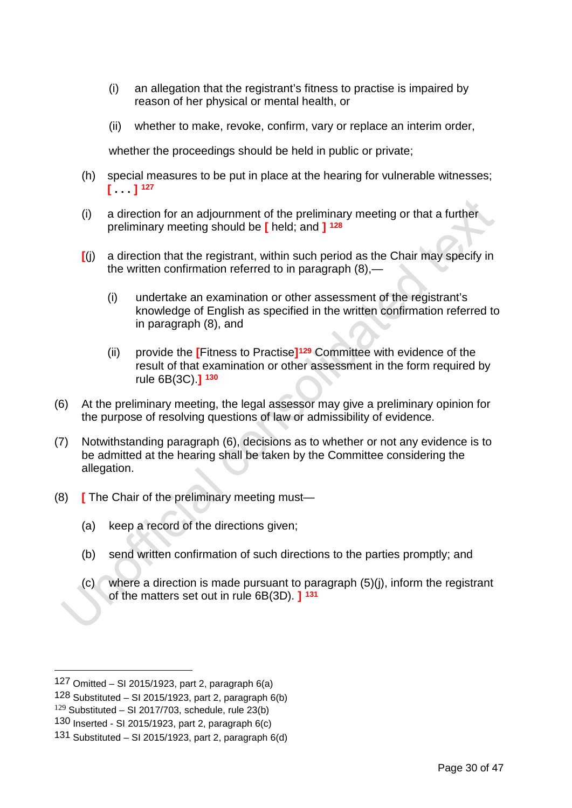- (i) an allegation that the registrant's fitness to practise is impaired by reason of her physical or mental health, or
- (ii) whether to make, revoke, confirm, vary or replace an interim order,

whether the proceedings should be held in public or private;

- (h) special measures to be put in place at the hearing for vulnerable witnesses; **[ . . . ] [127](#page-31-0)**
- (i) a direction for an adjournment of the preliminary meeting or that a further preliminary meeting should be **[** held; and **] [128](#page-31-1)**
- **[**(j) a direction that the registrant, within such period as the Chair may specify in the written confirmation referred to in paragraph (8),—
	- (i) undertake an examination or other assessment of the registrant's knowledge of English as specified in the written confirmation referred to in paragraph (8), and
	- (ii) provide the **[**Fitness to Practise**][129](#page-31-2)** Committee with evidence of the result of that examination or other assessment in the form required by rule 6B(3C).**] [130](#page-31-3)**
- (6) At the preliminary meeting, the legal assessor may give a preliminary opinion for the purpose of resolving questions of law or admissibility of evidence.
- (7) Notwithstanding paragraph (6), decisions as to whether or not any evidence is to be admitted at the hearing shall be taken by the Committee considering the allegation.
- (8) **[** The Chair of the preliminary meeting must—
	- (a) keep a record of the directions given;
	- (b) send written confirmation of such directions to the parties promptly; and
	- (c) where a direction is made pursuant to paragraph (5)(j), inform the registrant of the matters set out in rule 6B(3D). **] [131](#page-31-4)**

<span id="page-31-0"></span><sup>127</sup> Omitted – SI 2015/1923, part 2, paragraph  $6(a)$ 

<span id="page-31-1"></span><sup>128</sup> Substituted – SI 2015/1923, part 2, paragraph  $6(b)$ 

<span id="page-31-2"></span> $129$  Substituted – SI 2017/703, schedule, rule 23(b)

<span id="page-31-3"></span><sup>130</sup> Inserted - SI 2015/1923, part 2, paragraph  $6(c)$ 

<span id="page-31-4"></span><sup>131</sup> Substituted – SI 2015/1923, part 2, paragraph  $6(d)$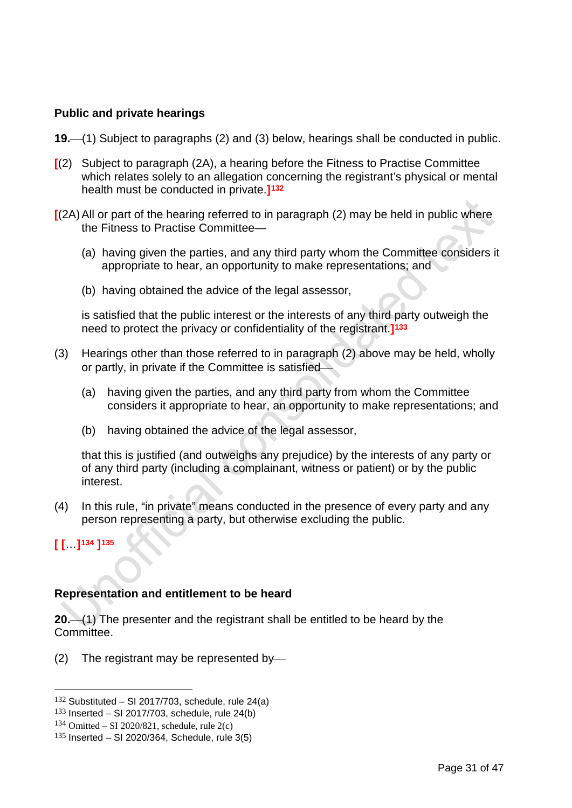## **Public and private hearings**

- **19.**(1) Subject to paragraphs (2) and (3) below, hearings shall be conducted in public.
- **[**(2) Subject to paragraph (2A), a hearing before the Fitness to Practise Committee which relates solely to an allegation concerning the registrant's physical or mental health must be conducted in private.**][132](#page-32-0)**
- **[**(2A)All or part of the hearing referred to in paragraph (2) may be held in public where the Fitness to Practise Committee—
	- (a) having given the parties, and any third party whom the Committee considers it appropriate to hear, an opportunity to make representations; and
	- (b) having obtained the advice of the legal assessor,

is satisfied that the public interest or the interests of any third party outweigh the need to protect the privacy or confidentiality of the registrant.**][133](#page-32-1)**

- (3) Hearings other than those referred to in paragraph (2) above may be held, wholly or partly, in private if the Committee is satisfied
	- (a) having given the parties, and any third party from whom the Committee considers it appropriate to hear, an opportunity to make representations; and
	- (b) having obtained the advice of the legal assessor,

that this is justified (and outweighs any prejudice) by the interests of any party or of any third party (including a complainant, witness or patient) or by the public interest.

- (4) In this rule, "in private" means conducted in the presence of every party and any person representing a party, but otherwise excluding the public.
- **[ [**…**][134](#page-32-2) ][135](#page-32-3)**

## **Representation and entitlement to be heard**

**20.**(1) The presenter and the registrant shall be entitled to be heard by the Committee.

(2) The registrant may be represented by

<span id="page-32-0"></span> $132$  Substituted – SI 2017/703, schedule, rule 24(a)

<span id="page-32-1"></span> $133$  Inserted – SI 2017/703, schedule, rule 24(b)

<span id="page-32-2"></span> $134$  Omitted – SI 2020/821, schedule, rule 2(c)

<span id="page-32-3"></span> $135$  Inserted – SI 2020/364, Schedule, rule 3(5)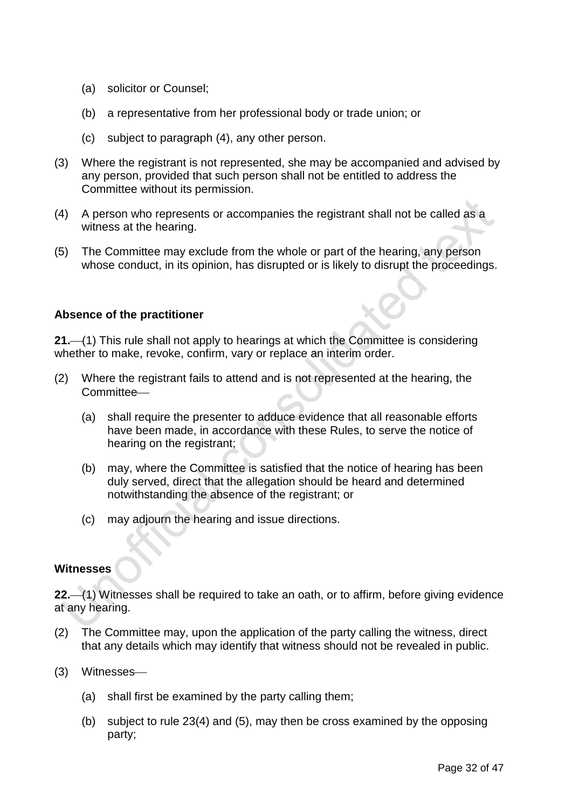- (a) solicitor or Counsel;
- (b) a representative from her professional body or trade union; or
- (c) subject to paragraph (4), any other person.
- (3) Where the registrant is not represented, she may be accompanied and advised by any person, provided that such person shall not be entitled to address the Committee without its permission.
- (4) A person who represents or accompanies the registrant shall not be called as a witness at the hearing.
- (5) The Committee may exclude from the whole or part of the hearing, any person whose conduct, in its opinion, has disrupted or is likely to disrupt the proceedings.

## **Absence of the practitioner**

**21.**(1) This rule shall not apply to hearings at which the Committee is considering whether to make, revoke, confirm, vary or replace an interim order.

- (2) Where the registrant fails to attend and is not represented at the hearing, the Committee-
	- (a) shall require the presenter to adduce evidence that all reasonable efforts have been made, in accordance with these Rules, to serve the notice of hearing on the registrant;
	- (b) may, where the Committee is satisfied that the notice of hearing has been duly served, direct that the allegation should be heard and determined notwithstanding the absence of the registrant; or
	- (c) may adjourn the hearing and issue directions.

## **Witnesses**

**22.**(1) Witnesses shall be required to take an oath, or to affirm, before giving evidence at any hearing.

- (2) The Committee may, upon the application of the party calling the witness, direct that any details which may identify that witness should not be revealed in public.
- (3) Witnesses
	- (a) shall first be examined by the party calling them;
	- (b) subject to rule 23(4) and (5), may then be cross examined by the opposing party;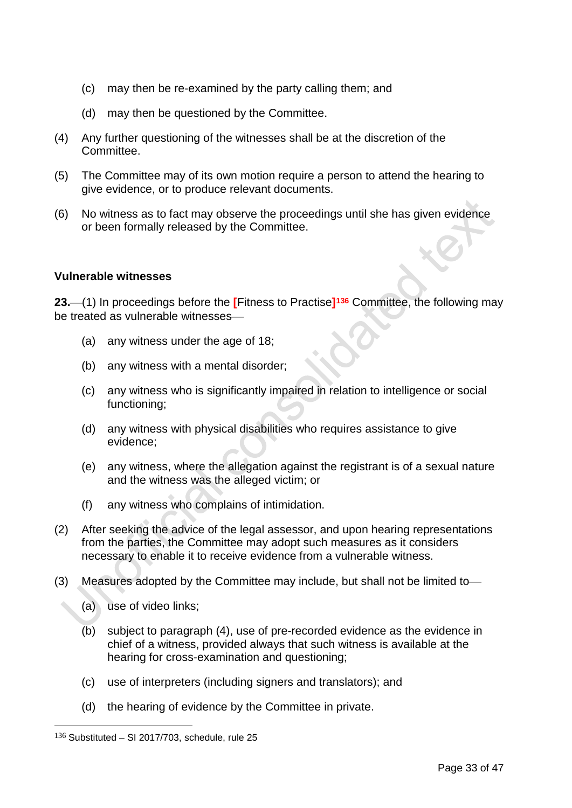- (c) may then be re-examined by the party calling them; and
- (d) may then be questioned by the Committee.
- (4) Any further questioning of the witnesses shall be at the discretion of the Committee.
- (5) The Committee may of its own motion require a person to attend the hearing to give evidence, or to produce relevant documents.
- (6) No witness as to fact may observe the proceedings until she has given evidence or been formally released by the Committee.

#### **Vulnerable witnesses**

**23.**(1) In proceedings before the **[**Fitness to Practise**][136](#page-34-0)** Committee, the following may be treated as vulnerable witnesses

- (a) any witness under the age of 18;
- (b) any witness with a mental disorder;
- (c) any witness who is significantly impaired in relation to intelligence or social functioning;
- (d) any witness with physical disabilities who requires assistance to give evidence;
- (e) any witness, where the allegation against the registrant is of a sexual nature and the witness was the alleged victim; or
- (f) any witness who complains of intimidation.
- (2) After seeking the advice of the legal assessor, and upon hearing representations from the parties, the Committee may adopt such measures as it considers necessary to enable it to receive evidence from a vulnerable witness.
- (3) Measures adopted by the Committee may include, but shall not be limited to
	- (a) use of video links;
	- (b) subject to paragraph (4), use of pre-recorded evidence as the evidence in chief of a witness, provided always that such witness is available at the hearing for cross-examination and questioning;
	- (c) use of interpreters (including signers and translators); and
	- (d) the hearing of evidence by the Committee in private.

<span id="page-34-0"></span> $136$  Substituted – SI 2017/703, schedule, rule 25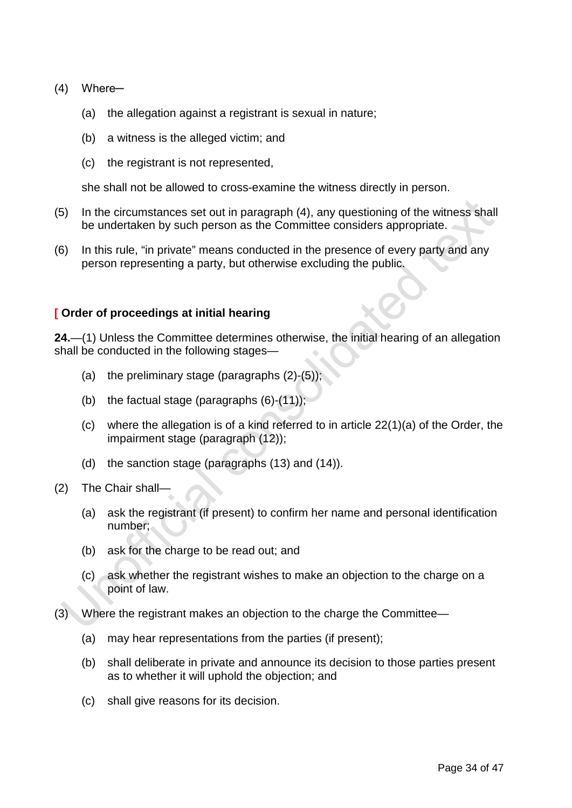- (4) Where-
	- (a) the allegation against a registrant is sexual in nature;
	- (b) a witness is the alleged victim; and
	- (c) the registrant is not represented,

she shall not be allowed to cross-examine the witness directly in person.

- (5) In the circumstances set out in paragraph (4), any questioning of the witness shall be undertaken by such person as the Committee considers appropriate.
- (6) In this rule, "in private" means conducted in the presence of every party and any person representing a party, but otherwise excluding the public.

#### **[ Order of proceedings at initial hearing**

**24.**—(1) Unless the Committee determines otherwise, the initial hearing of an allegation shall be conducted in the following stages—

- (a) the preliminary stage (paragraphs  $(2)-(5)$ );
- (b) the factual stage (paragraphs (6)-(11));
- (c) where the allegation is of a kind referred to in article 22(1)(a) of the Order, the impairment stage (paragraph (12));
- (d) the sanction stage (paragraphs (13) and (14)).
- (2) The Chair shall—
	- (a) ask the registrant (if present) to confirm her name and personal identification number;
	- (b) ask for the charge to be read out; and
	- (c) ask whether the registrant wishes to make an objection to the charge on a point of law.
- (3) Where the registrant makes an objection to the charge the Committee—
	- (a) may hear representations from the parties (if present);
	- (b) shall deliberate in private and announce its decision to those parties present as to whether it will uphold the objection; and
	- (c) shall give reasons for its decision.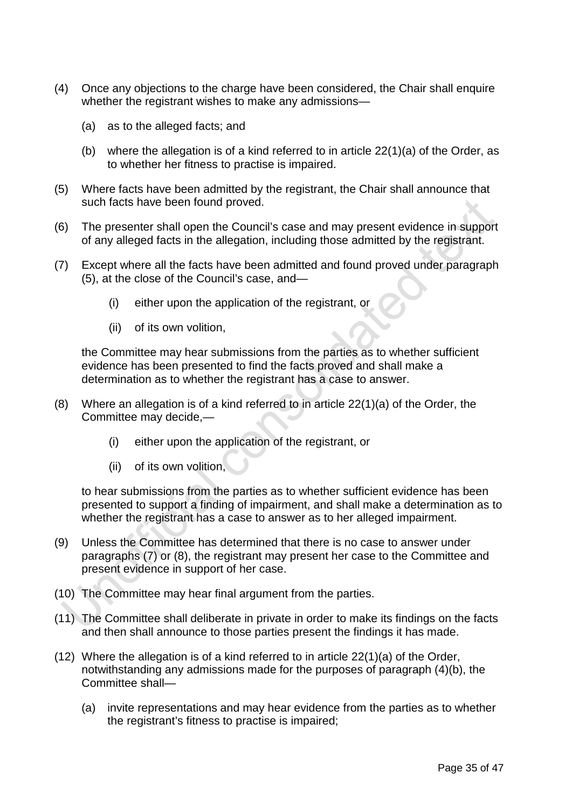- (4) Once any objections to the charge have been considered, the Chair shall enquire whether the registrant wishes to make any admissions—
	- (a) as to the alleged facts; and
	- (b) where the allegation is of a kind referred to in article 22(1)(a) of the Order, as to whether her fitness to practise is impaired.
- (5) Where facts have been admitted by the registrant, the Chair shall announce that such facts have been found proved.
- (6) The presenter shall open the Council's case and may present evidence in support of any alleged facts in the allegation, including those admitted by the registrant.
- (7) Except where all the facts have been admitted and found proved under paragraph (5), at the close of the Council's case, and—
	- (i) either upon the application of the registrant, or
	- (ii) of its own volition,

the Committee may hear submissions from the parties as to whether sufficient evidence has been presented to find the facts proved and shall make a determination as to whether the registrant has a case to answer.

- (8) Where an allegation is of a kind referred to in article 22(1)(a) of the Order, the Committee may decide,—
	- (i) either upon the application of the registrant, or
	- (ii) of its own volition,

to hear submissions from the parties as to whether sufficient evidence has been presented to support a finding of impairment, and shall make a determination as to whether the registrant has a case to answer as to her alleged impairment.

- (9) Unless the Committee has determined that there is no case to answer under paragraphs (7) or (8), the registrant may present her case to the Committee and present evidence in support of her case.
- (10) The Committee may hear final argument from the parties.
- (11) The Committee shall deliberate in private in order to make its findings on the facts and then shall announce to those parties present the findings it has made.
- (12) Where the allegation is of a kind referred to in article 22(1)(a) of the Order, notwithstanding any admissions made for the purposes of paragraph (4)(b), the Committee shall—
	- (a) invite representations and may hear evidence from the parties as to whether the registrant's fitness to practise is impaired;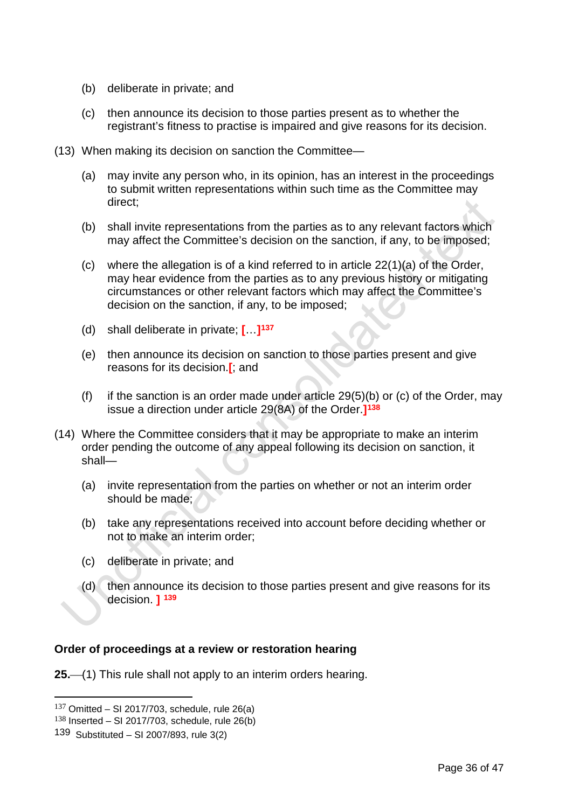- (b) deliberate in private; and
- (c) then announce its decision to those parties present as to whether the registrant's fitness to practise is impaired and give reasons for its decision.
- (13) When making its decision on sanction the Committee—
	- (a) may invite any person who, in its opinion, has an interest in the proceedings to submit written representations within such time as the Committee may direct;
	- (b) shall invite representations from the parties as to any relevant factors which may affect the Committee's decision on the sanction, if any, to be imposed;
	- (c) where the allegation is of a kind referred to in article 22(1)(a) of the Order, may hear evidence from the parties as to any previous history or mitigating circumstances or other relevant factors which may affect the Committee's decision on the sanction, if any, to be imposed;
	- (d) shall deliberate in private; **[**…**][137](#page-37-0)**
	- (e) then announce its decision on sanction to those parties present and give reasons for its decision.**[**; and
	- (f) if the sanction is an order made under article  $29(5)(b)$  or (c) of the Order, may issue a direction under article 29(8A) of the Order.**][138](#page-37-1)**
- (14) Where the Committee considers that it may be appropriate to make an interim order pending the outcome of any appeal following its decision on sanction, it shall—
	- (a) invite representation from the parties on whether or not an interim order should be made;
	- (b) take any representations received into account before deciding whether or not to make an interim order;
	- (c) deliberate in private; and
	- $(d)$  then announce its decision to those parties present and give reasons for its decision. **] [139](#page-37-2)**

## **Order of proceedings at a review or restoration hearing**

**25.** (1) This rule shall not apply to an interim orders hearing.

<span id="page-37-0"></span> $137$  Omitted – SI 2017/703, schedule, rule 26(a)

<span id="page-37-1"></span> $138$  Inserted – SI 2017/703, schedule, rule 26(b)

<span id="page-37-2"></span><sup>139</sup> Substituted – SI 2007/893, rule 3(2)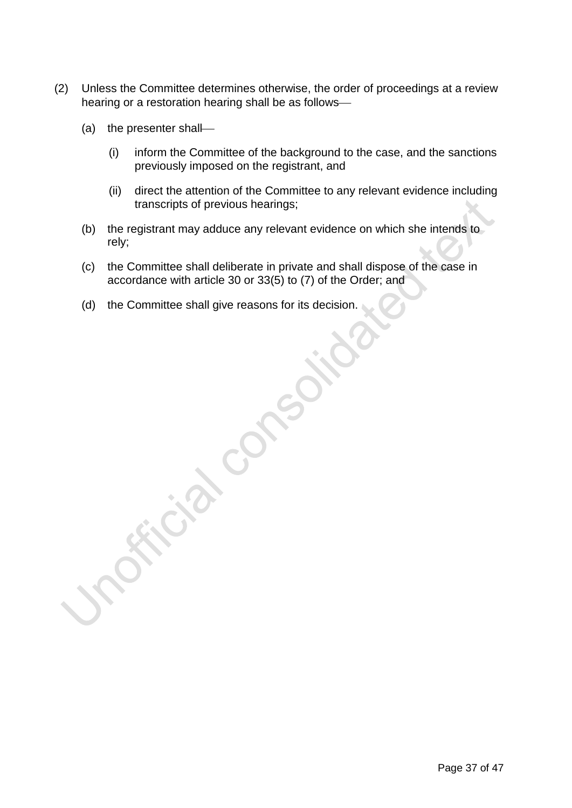- (2) Unless the Committee determines otherwise, the order of proceedings at a review hearing or a restoration hearing shall be as follows
	- (a) the presenter shall
		- (i) inform the Committee of the background to the case, and the sanctions previously imposed on the registrant, and
		- (ii) direct the attention of the Committee to any relevant evidence including transcripts of previous hearings;
	- (b) the registrant may adduce any relevant evidence on which she intends to rely;
	- (c) the Committee shall deliberate in private and shall dispose of the case in accordance with article 30 or 33(5) to (7) of the Order; and
	- (d) the Committee shall give reasons for its decision.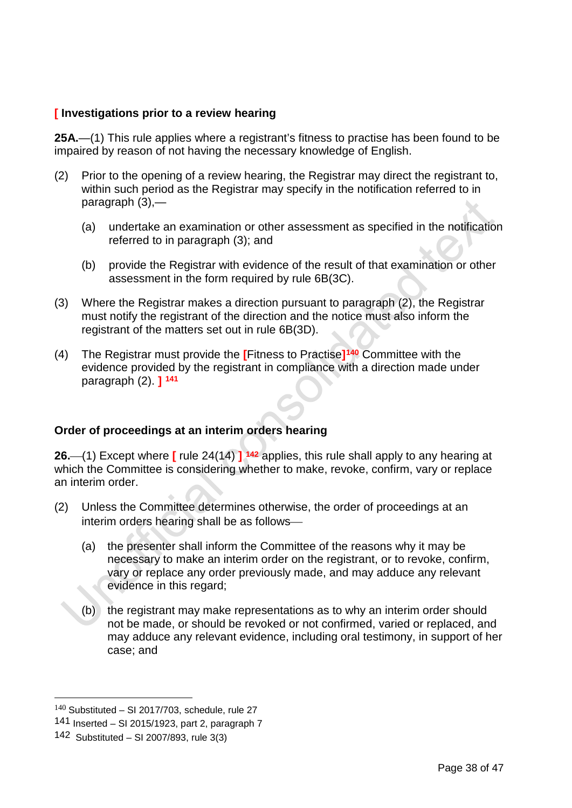## **[ Investigations prior to a review hearing**

**25A.**—(1) This rule applies where a registrant's fitness to practise has been found to be impaired by reason of not having the necessary knowledge of English.

- (2) Prior to the opening of a review hearing, the Registrar may direct the registrant to, within such period as the Registrar may specify in the notification referred to in paragraph (3),—
	- (a) undertake an examination or other assessment as specified in the notification referred to in paragraph (3); and
	- (b) provide the Registrar with evidence of the result of that examination or other assessment in the form required by rule 6B(3C).
- (3) Where the Registrar makes a direction pursuant to paragraph (2), the Registrar must notify the registrant of the direction and the notice must also inform the registrant of the matters set out in rule 6B(3D).
- (4) The Registrar must provide the **[**Fitness to Practise**][140](#page-39-0)** Committee with the evidence provided by the registrant in compliance with a direction made under paragraph (2). **] [141](#page-39-1)**

## **Order of proceedings at an interim orders hearing**

**26.**(1) Except where **[** rule 24(14) **] [142](#page-39-2)** applies, this rule shall apply to any hearing at which the Committee is considering whether to make, revoke, confirm, vary or replace an interim order.

- (2) Unless the Committee determines otherwise, the order of proceedings at an interim orders hearing shall be as follows
	- (a) the presenter shall inform the Committee of the reasons why it may be necessary to make an interim order on the registrant, or to revoke, confirm, vary or replace any order previously made, and may adduce any relevant evidence in this regard;
	- (b) the registrant may make representations as to why an interim order should not be made, or should be revoked or not confirmed, varied or replaced, and may adduce any relevant evidence, including oral testimony, in support of her case; and

<span id="page-39-0"></span> $140$  Substituted – SI 2017/703, schedule, rule 27

<span id="page-39-1"></span><sup>141</sup> Inserted – SI 2015/1923, part 2, paragraph 7

<span id="page-39-2"></span><sup>142</sup> Substituted – SI 2007/893, rule 3(3)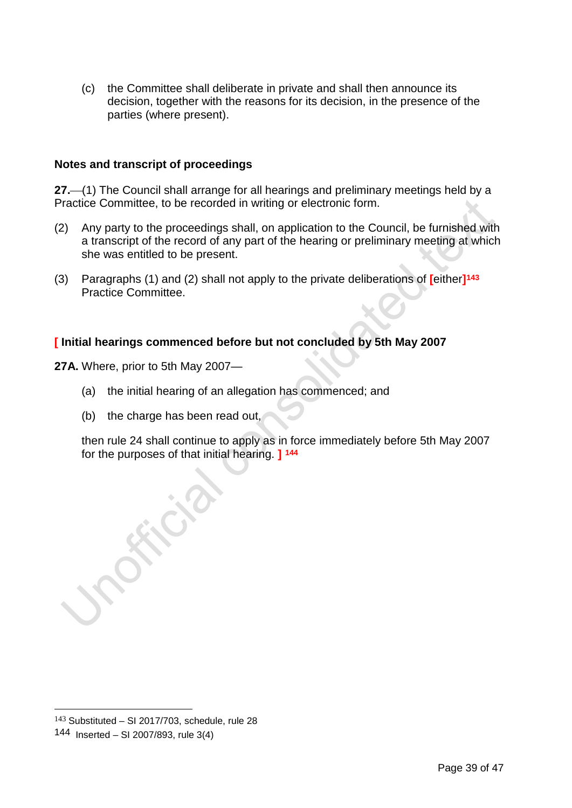(c) the Committee shall deliberate in private and shall then announce its decision, together with the reasons for its decision, in the presence of the parties (where present).

## **Notes and transcript of proceedings**

**27.**(1) The Council shall arrange for all hearings and preliminary meetings held by a Practice Committee, to be recorded in writing or electronic form.

- (2) Any party to the proceedings shall, on application to the Council, be furnished with a transcript of the record of any part of the hearing or preliminary meeting at which she was entitled to be present.
- (3) Paragraphs (1) and (2) shall not apply to the private deliberations of **[**either**][143](#page-40-0)** Practice Committee.

## **[ Initial hearings commenced before but not concluded by 5th May 2007**

**27A.** Where, prior to 5th May 2007—

- (a) the initial hearing of an allegation has commenced; and
- (b) the charge has been read out,

then rule 24 shall continue to apply as in force immediately before 5th May 2007 for the purposes of that initial hearing. **] [144](#page-40-1)**

<span id="page-40-1"></span><span id="page-40-0"></span> $143$  Substituted – SI 2017/703, schedule, rule 28 144 Inserted – SI 2007/893, rule 3(4)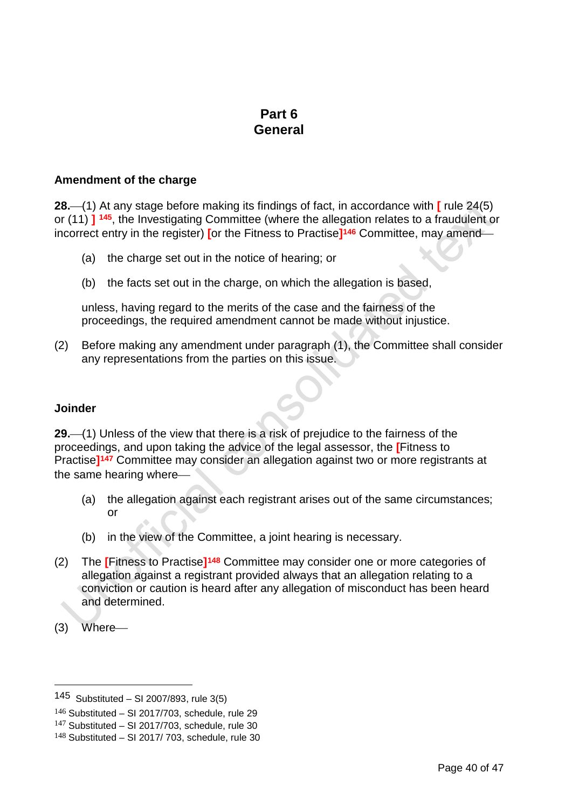# **Part 6 General**

#### **Amendment of the charge**

**28.**(1) At any stage before making its findings of fact, in accordance with **[** rule 24(5) or (11) **] [145](#page-41-0)**, the Investigating Committee (where the allegation relates to a fraudulent or incorrect entry in the register) **[**or the Fitness to Practise**][146](#page-41-1)** Committee, may amend

- (a) the charge set out in the notice of hearing; or
- (b) the facts set out in the charge, on which the allegation is based,

unless, having regard to the merits of the case and the fairness of the proceedings, the required amendment cannot be made without injustice.

(2) Before making any amendment under paragraph (1), the Committee shall consider any representations from the parties on this issue.

#### **Joinder**

**29.**(1) Unless of the view that there is a risk of prejudice to the fairness of the proceedings, and upon taking the advice of the legal assessor, the **[**Fitness to Practise**][147](#page-41-2)** Committee may consider an allegation against two or more registrants at the same hearing where

- (a) the allegation against each registrant arises out of the same circumstances; or
- (b) in the view of the Committee, a joint hearing is necessary.
- (2) The **[**Fitness to Practise**][148](#page-41-3)** Committee may consider one or more categories of allegation against a registrant provided always that an allegation relating to a conviction or caution is heard after any allegation of misconduct has been heard and determined.
- (3) Where

<span id="page-41-0"></span><sup>145</sup> Substituted – SI 2007/893, rule 3(5)

<span id="page-41-1"></span> $146$  Substituted – SI 2017/703, schedule, rule 29

<span id="page-41-2"></span> $147$  Substituted – SI 2017/703, schedule, rule 30

<span id="page-41-3"></span> $148$  Substituted - SI 2017/703, schedule, rule 30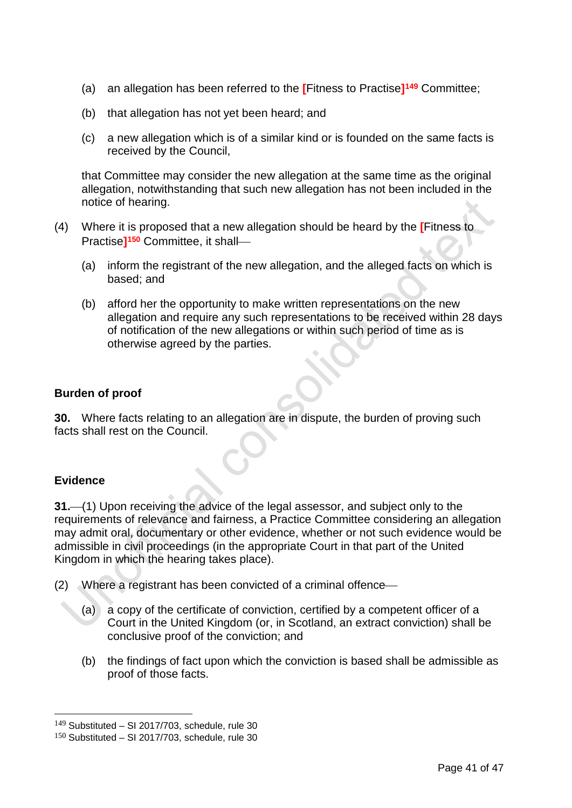- (a) an allegation has been referred to the **[**Fitness to Practise**][149](#page-42-0)** Committee;
- (b) that allegation has not yet been heard; and
- (c) a new allegation which is of a similar kind or is founded on the same facts is received by the Council,

that Committee may consider the new allegation at the same time as the original allegation, notwithstanding that such new allegation has not been included in the notice of hearing.

- (4) Where it is proposed that a new allegation should be heard by the **[**Fitness to Practise**][150](#page-42-1)** Committee, it shall
	- (a) inform the registrant of the new allegation, and the alleged facts on which is based; and
	- (b) afford her the opportunity to make written representations on the new allegation and require any such representations to be received within 28 days of notification of the new allegations or within such period of time as is otherwise agreed by the parties.

## **Burden of proof**

**30.** Where facts relating to an allegation are in dispute, the burden of proving such facts shall rest on the Council.

## **Evidence**

**31.** (1) Upon receiving the advice of the legal assessor, and subject only to the requirements of relevance and fairness, a Practice Committee considering an allegation may admit oral, documentary or other evidence, whether or not such evidence would be admissible in civil proceedings (in the appropriate Court in that part of the United Kingdom in which the hearing takes place).

(2) Where a registrant has been convicted of a criminal offence

- (a) a copy of the certificate of conviction, certified by a competent officer of a Court in the United Kingdom (or, in Scotland, an extract conviction) shall be conclusive proof of the conviction; and
- (b) the findings of fact upon which the conviction is based shall be admissible as proof of those facts.

<span id="page-42-0"></span> $149$  Substituted – SI 2017/703, schedule, rule 30

<span id="page-42-1"></span> $150$  Substituted – SI 2017/703, schedule, rule 30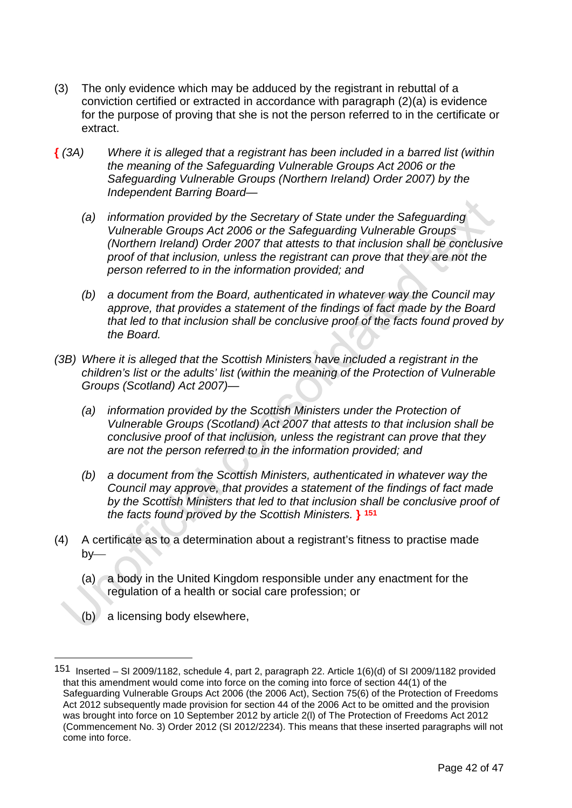- (3) The only evidence which may be adduced by the registrant in rebuttal of a conviction certified or extracted in accordance with paragraph (2)(a) is evidence for the purpose of proving that she is not the person referred to in the certificate or extract.
- **{** *(3A) Where it is alleged that a registrant has been included in a barred list (within the meaning of the Safeguarding Vulnerable Groups Act 2006 or the Safeguarding Vulnerable Groups (Northern Ireland) Order 2007) by the Independent Barring Board—*
	- *(a) information provided by the Secretary of State under the Safeguarding Vulnerable Groups Act 2006 or the Safeguarding Vulnerable Groups (Northern Ireland) Order 2007 that attests to that inclusion shall be conclusive proof of that inclusion, unless the registrant can prove that they are not the person referred to in the information provided; and*
	- *(b) a document from the Board, authenticated in whatever way the Council may approve, that provides a statement of the findings of fact made by the Board that led to that inclusion shall be conclusive proof of the facts found proved by the Board.*
- *(3B) Where it is alleged that the Scottish Ministers have included a registrant in the children's list or the adults' list (within the meaning of the Protection of Vulnerable Groups (Scotland) Act 2007)—*
	- *(a) information provided by the Scottish Ministers under the Protection of Vulnerable Groups (Scotland) Act 2007 that attests to that inclusion shall be conclusive proof of that inclusion, unless the registrant can prove that they are not the person referred to in the information provided; and*
	- *(b) a document from the Scottish Ministers, authenticated in whatever way the Council may approve, that provides a statement of the findings of fact made by the Scottish Ministers that led to that inclusion shall be conclusive proof of the facts found proved by the Scottish Ministers.* **} [151](#page-43-0)**
- (4) A certificate as to a determination about a registrant's fitness to practise made  $b$ v—
	- (a) a body in the United Kingdom responsible under any enactment for the regulation of a health or social care profession; or
	- (b) a licensing body elsewhere,

<span id="page-43-0"></span><sup>151</sup> Inserted – SI 2009/1182, schedule 4, part 2, paragraph 22. Article 1(6)(d) of SI 2009/1182 provided that this amendment would come into force on the coming into force of section 44(1) of the Safeguarding Vulnerable Groups Act 2006 (the 2006 Act), Section 75(6) of the Protection of Freedoms Act 2012 subsequently made provision for section 44 of the 2006 Act to be omitted and the provision was brought into force on 10 September 2012 by article 2(l) of The Protection of Freedoms Act 2012 (Commencement No. 3) Order 2012 (SI 2012/2234). This means that these inserted paragraphs will not come into force.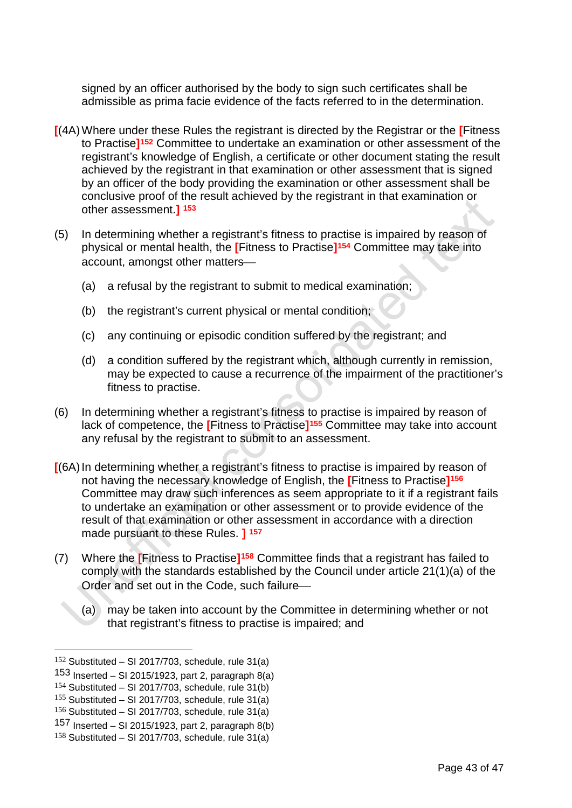signed by an officer authorised by the body to sign such certificates shall be admissible as prima facie evidence of the facts referred to in the determination.

- **[**(4A)Where under these Rules the registrant is directed by the Registrar or the **[**Fitness to Practise**][152](#page-44-0)** Committee to undertake an examination or other assessment of the registrant's knowledge of English, a certificate or other document stating the result achieved by the registrant in that examination or other assessment that is signed by an officer of the body providing the examination or other assessment shall be conclusive proof of the result achieved by the registrant in that examination or other assessment.**] [153](#page-44-1)**
- (5) In determining whether a registrant's fitness to practise is impaired by reason of physical or mental health, the **[**Fitness to Practise**][154](#page-44-2)** Committee may take into account, amongst other matters
	- (a) a refusal by the registrant to submit to medical examination;
	- (b) the registrant's current physical or mental condition;
	- (c) any continuing or episodic condition suffered by the registrant; and
	- (d) a condition suffered by the registrant which, although currently in remission, may be expected to cause a recurrence of the impairment of the practitioner's fitness to practise.
- (6) In determining whether a registrant's fitness to practise is impaired by reason of lack of competence, the **[**Fitness to Practise**][155](#page-44-3)** Committee may take into account any refusal by the registrant to submit to an assessment.
- **[**(6A)In determining whether a registrant's fitness to practise is impaired by reason of not having the necessary knowledge of English, the **[**Fitness to Practise**][156](#page-44-4)** Committee may draw such inferences as seem appropriate to it if a registrant fails to undertake an examination or other assessment or to provide evidence of the result of that examination or other assessment in accordance with a direction made pursuant to these Rules. **] [157](#page-44-5)**
- (7) Where the **[**Fitness to Practise**][158](#page-44-6)** Committee finds that a registrant has failed to comply with the standards established by the Council under article 21(1)(a) of the Order and set out in the Code, such failure
	- (a) may be taken into account by the Committee in determining whether or not that registrant's fitness to practise is impaired; and

<span id="page-44-0"></span> $152$  Substituted – SI 2017/703, schedule, rule 31(a)

<span id="page-44-1"></span><sup>153</sup> Inserted – SI 2015/1923, part 2, paragraph  $8(a)$ 

<span id="page-44-2"></span> $154$  Substituted – SI 2017/703, schedule, rule 31(b)

<span id="page-44-3"></span> $155$  Substituted – SI 2017/703, schedule, rule 31(a)

<span id="page-44-4"></span> $156$  Substituted – SI 2017/703, schedule, rule 31(a)

<span id="page-44-5"></span><sup>157</sup> Inserted – SI 2015/1923, part 2, paragraph  $8(b)$ 

<span id="page-44-6"></span> $158$  Substituted – SI 2017/703, schedule, rule 31(a)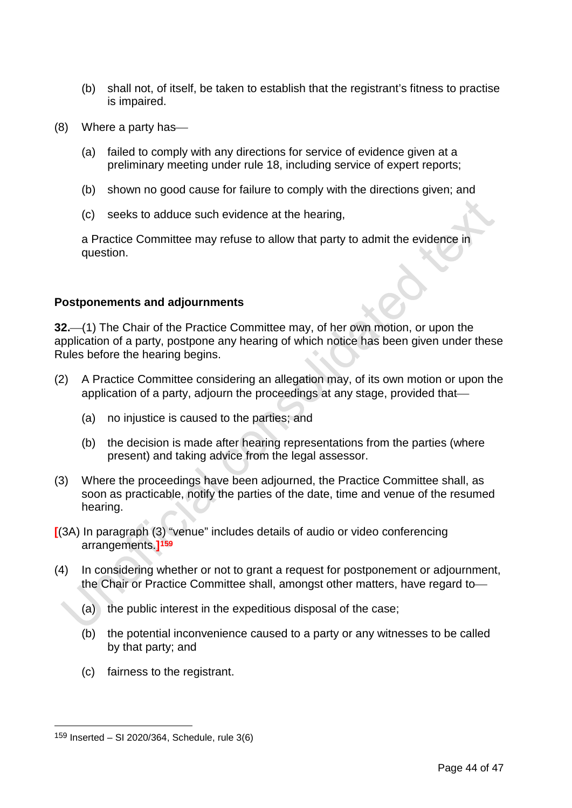- (b) shall not, of itself, be taken to establish that the registrant's fitness to practise is impaired.
- (8) Where a party has
	- (a) failed to comply with any directions for service of evidence given at a preliminary meeting under rule 18, including service of expert reports;
	- (b) shown no good cause for failure to comply with the directions given; and
	- (c) seeks to adduce such evidence at the hearing,

a Practice Committee may refuse to allow that party to admit the evidence in question.

## **Postponements and adjournments**

**32.** (1) The Chair of the Practice Committee may, of her own motion, or upon the application of a party, postpone any hearing of which notice has been given under these Rules before the hearing begins.

- (2) A Practice Committee considering an allegation may, of its own motion or upon the application of a party, adjourn the proceedings at any stage, provided that
	- (a) no injustice is caused to the parties; and
	- (b) the decision is made after hearing representations from the parties (where present) and taking advice from the legal assessor.
- (3) Where the proceedings have been adjourned, the Practice Committee shall, as soon as practicable, notify the parties of the date, time and venue of the resumed hearing.
- **[**(3A) In paragraph (3) "venue" includes details of audio or video conferencing arrangements.**][159](#page-45-0)**
- (4) In considering whether or not to grant a request for postponement or adjournment, the Chair or Practice Committee shall, amongst other matters, have regard to
	- (a) the public interest in the expeditious disposal of the case;
	- (b) the potential inconvenience caused to a party or any witnesses to be called by that party; and
	- (c) fairness to the registrant.

<span id="page-45-0"></span><sup>159</sup> Inserted – SI 2020/364, Schedule, rule 3(6)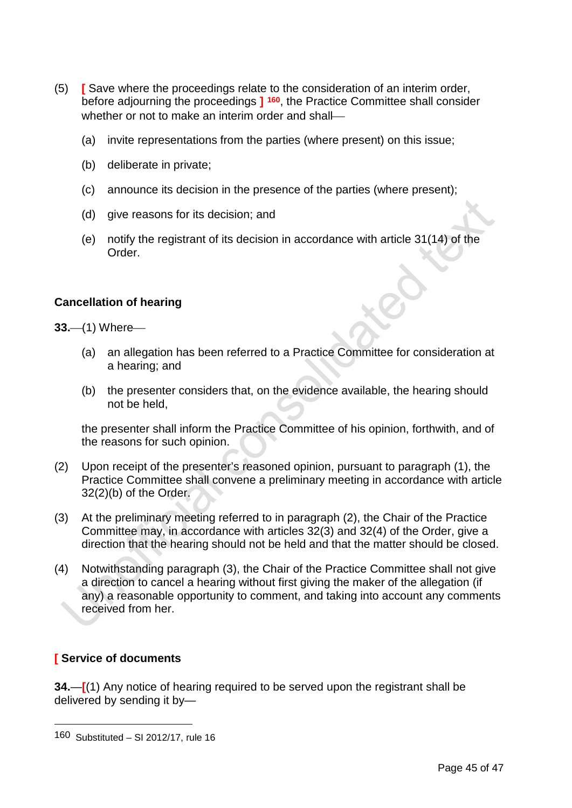- (5) **[** Save where the proceedings relate to the consideration of an interim order, before adjourning the proceedings **] [160](#page-46-0)**, the Practice Committee shall consider whether or not to make an interim order and shall—
	- (a) invite representations from the parties (where present) on this issue;
	- (b) deliberate in private;
	- (c) announce its decision in the presence of the parties (where present);
	- (d) give reasons for its decision; and
	- (e) notify the registrant of its decision in accordance with article 31(14) of the Order.

## **Cancellation of hearing**

**33.** (1) Where

- (a) an allegation has been referred to a Practice Committee for consideration at a hearing; and
- (b) the presenter considers that, on the evidence available, the hearing should not be held,

the presenter shall inform the Practice Committee of his opinion, forthwith, and of the reasons for such opinion.

- (2) Upon receipt of the presenter's reasoned opinion, pursuant to paragraph (1), the Practice Committee shall convene a preliminary meeting in accordance with article 32(2)(b) of the Order.
- (3) At the preliminary meeting referred to in paragraph (2), the Chair of the Practice Committee may, in accordance with articles 32(3) and 32(4) of the Order, give a direction that the hearing should not be held and that the matter should be closed.
- (4) Notwithstanding paragraph (3), the Chair of the Practice Committee shall not give a direction to cancel a hearing without first giving the maker of the allegation (if any) a reasonable opportunity to comment, and taking into account any comments received from her.

## **[ Service of documents**

-

**34.**—**[**(1) Any notice of hearing required to be served upon the registrant shall be delivered by sending it by—

<span id="page-46-0"></span><sup>160</sup> Substituted – SI 2012/17, rule 16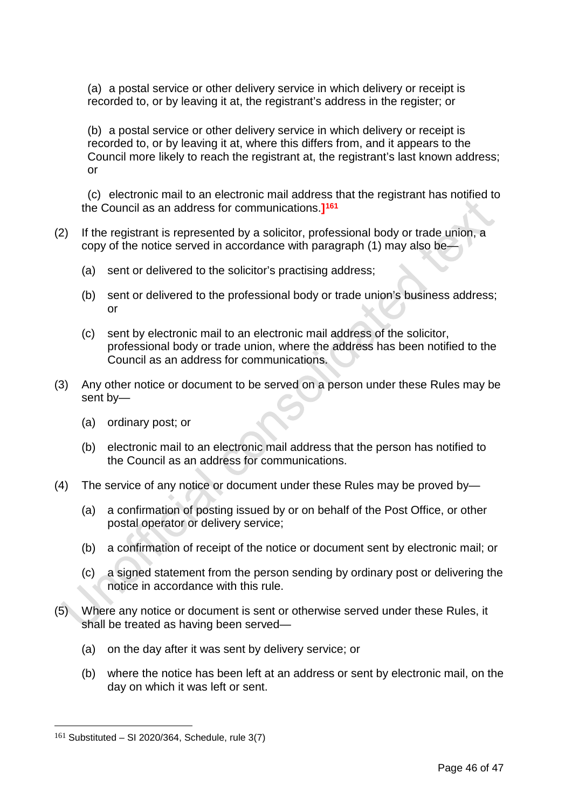(a) a postal service or other delivery service in which delivery or receipt is recorded to, or by leaving it at, the registrant's address in the register; or

(b) a postal service or other delivery service in which delivery or receipt is recorded to, or by leaving it at, where this differs from, and it appears to the Council more likely to reach the registrant at, the registrant's last known address; or

(c) electronic mail to an electronic mail address that the registrant has notified to the Council as an address for communications.**][161](#page-47-0)**

- (2) If the registrant is represented by a solicitor, professional body or trade union, a copy of the notice served in accordance with paragraph (1) may also be—
	- (a) sent or delivered to the solicitor's practising address;
	- (b) sent or delivered to the professional body or trade union's business address; or
	- (c) sent by electronic mail to an electronic mail address of the solicitor, professional body or trade union, where the address has been notified to the Council as an address for communications.
- (3) Any other notice or document to be served on a person under these Rules may be sent by—
	- (a) ordinary post; or
	- (b) electronic mail to an electronic mail address that the person has notified to the Council as an address for communications.
- (4) The service of any notice or document under these Rules may be proved by—
	- (a) a confirmation of posting issued by or on behalf of the Post Office, or other postal operator or delivery service;
	- (b) a confirmation of receipt of the notice or document sent by electronic mail; or
	- (c) a signed statement from the person sending by ordinary post or delivering the notice in accordance with this rule.
- (5) Where any notice or document is sent or otherwise served under these Rules, it shall be treated as having been served—
	- (a) on the day after it was sent by delivery service; or
	- (b) where the notice has been left at an address or sent by electronic mail, on the day on which it was left or sent.

<span id="page-47-0"></span> $161$  Substituted – SI 2020/364, Schedule, rule 3(7)